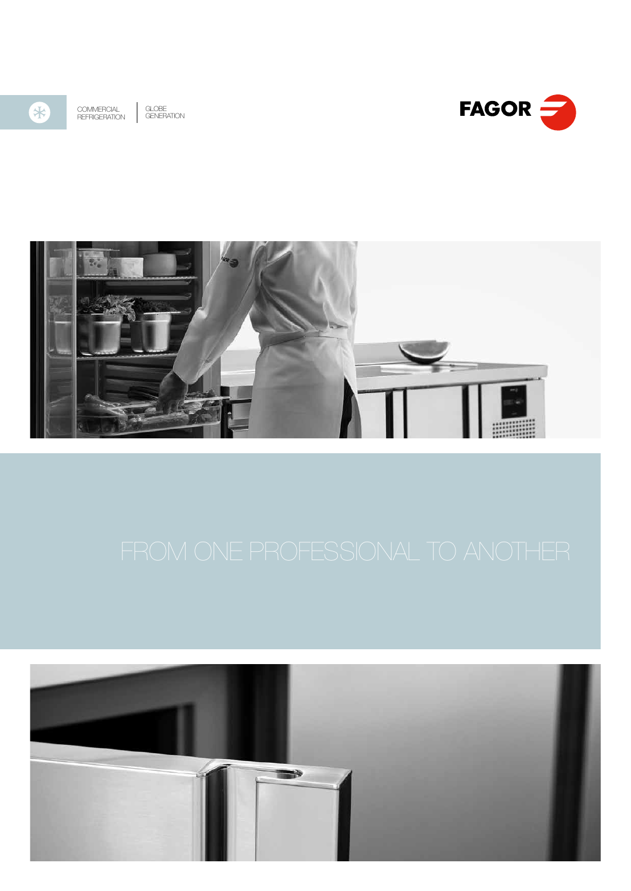

COMMERCIAL REFRIGERATION GLOBE GENERATION





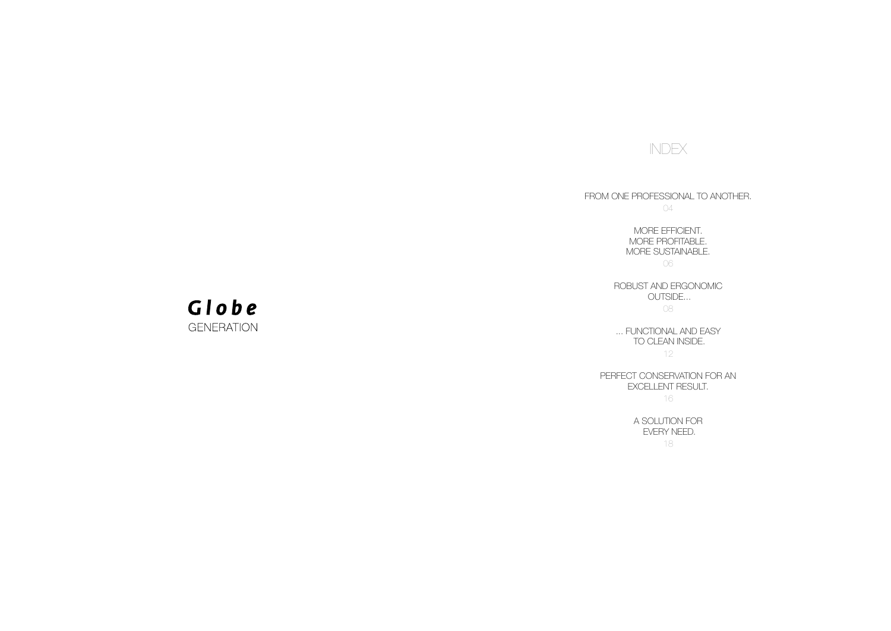INDEX

FROM ONE PROFESSIONAL TO ANOTHER. 04

> MORE EFFICIENT. MORE PROFITABLE. MORE SUSTAINABLE. 06

ROBUST AND ERGONOMIC

 OUTSIDE... 08

... FUNCTIONAL AND EASY TO CLEAN INSIDE. 12

PERFECT CONSERVATION FOR AN EXCELLENT RESULT. 16

> A SOLUTION FOR EVERY NEED. 18

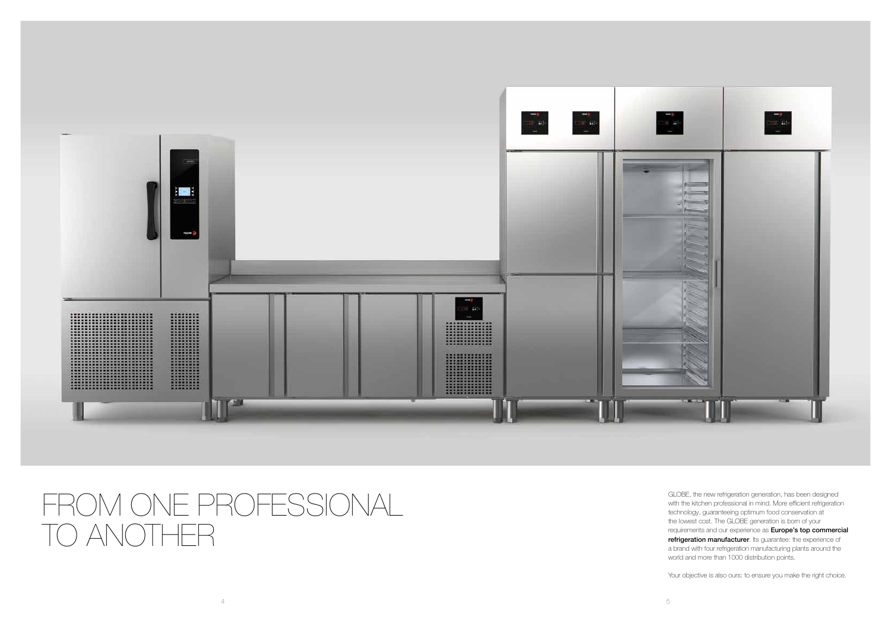

 $4 \overline{5}$ 

GLOBE, the new refrigeration generation, has been designed with the kitchen professional in mind. More efficient refrigeration technology, guaranteeing optimum food conservation at the lowest cost. The GLOBE generation is born of your requirements and our experience as **Europe's top commercial** refrigeration manufacturer. Its guarantee: the experience of a brand with four refrigeration manufacturing plants around the world and more than 1000 distribution points.

Your objective is also ours: to ensure you make the right choice.

# FROM ONE PROFESSIONAL TO ANOTHER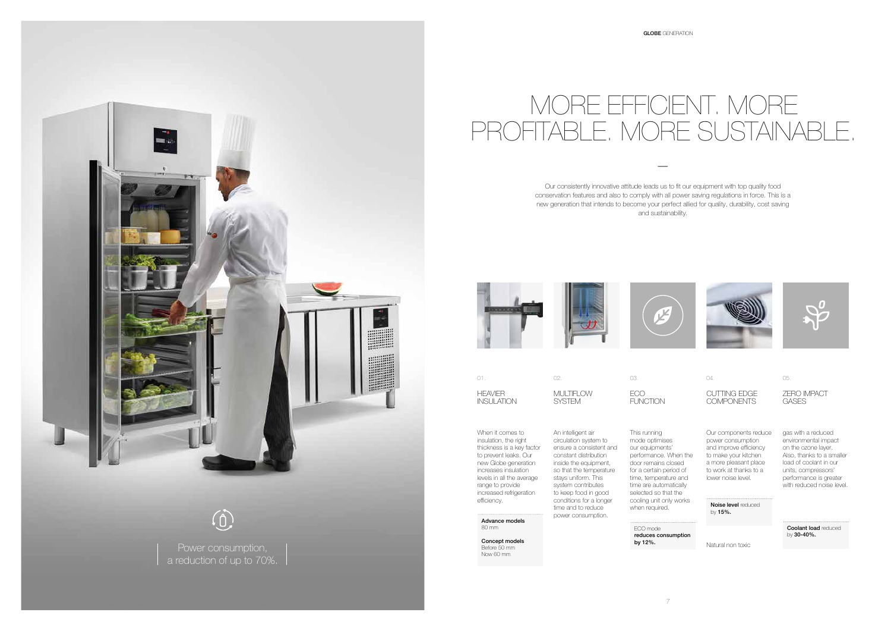





# MORE EFFICIENT. MORE PROFITABLE. MORE SUSTAINABLE.

—





01. 02. 03. 04. 05. MULTIFLOW **SYSTEM** 

**HFAVIFR** INSULATION ECO **FUNCTION** 

CUTTING EDGE **COMPONENTS** 

Our consistently innovative attitude leads us to fit our equipment with top quality food conservation features and also to comply with all power saving regulations in force. This is a new generation that intends to become your perfect allied for quality, durability, cost saving and sustainability.

> ZERO IMPACT GASES

Sğ

performance. When the door remains closed for a certain period of time, temperature and time are automatically selected so that the

When it comes to insulation, the right thickness is a key factor to prevent leaks. Our new Globe generation increases insulation levels in all the average range to provide increased refrigeration efficiency.

Noise level reduced by 15%.

An intelligent air circulation system to ensure a consistent and constant distribution inside the equipment, so that the temperature stays uniform. This system contributes to keep food in good conditions for a longer time and to reduce power consumption. This running mode optimises our equipments'

Our components reduce power consumption and improve efficiency to make your kitchen a more pleasant place to work at thanks to a lower noise level.

Natural non toxic

cooling unit only works when required. ECO mode

gas with a reduced environmental impact on the ozone layer. Also, thanks to a smaller load of coolant in our units, compressors' performance is greater with reduced noise level.

**Coolant load reduced** by 30-40%.

Advance models 80 mm

Concept models Before 50 mm Now 60 mm

reduces consumption by 12%.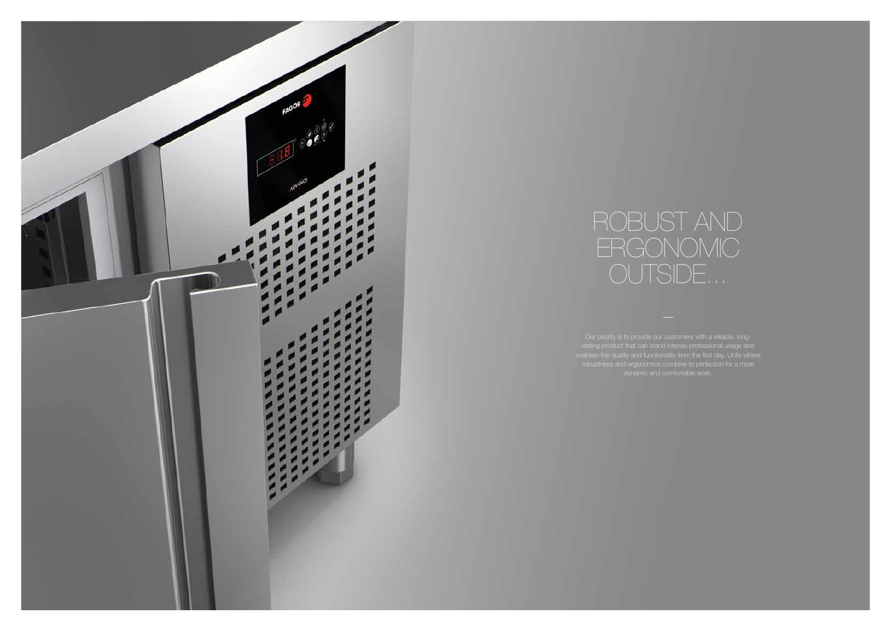Our priority is to provide our customers with a reliable, long-



# ROBUST AND ERGONOMIC OUTSIDE...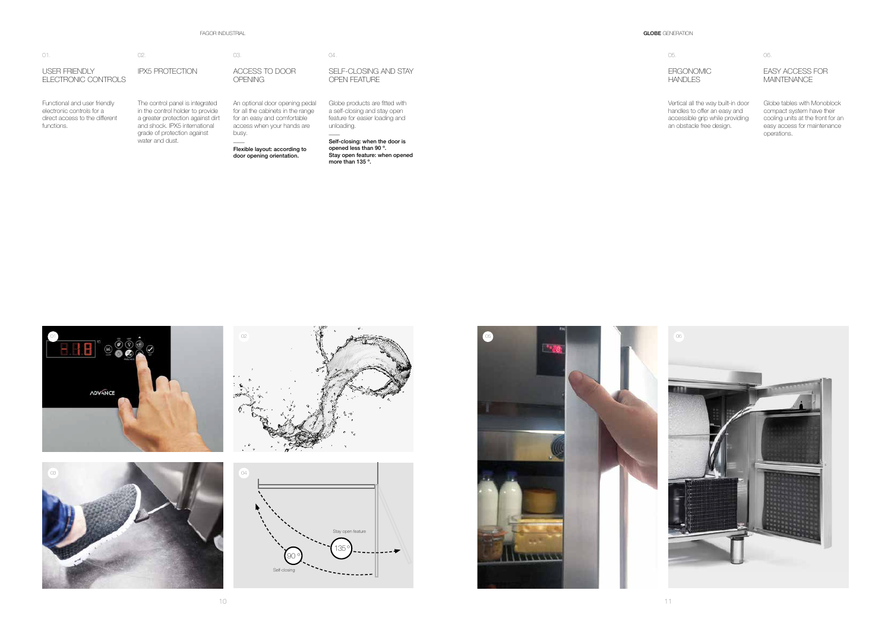







ERGONOMIC **HANDLES** 

### FAGOR INDUSTRIAL GLO**BE** GENERATION AND STRUCK AND STRUCK AND STRUCK AND STRUCK AND STRUCK AND STRUCK AND STRUCK AND STRUCK AND STRUCK AND STRUCK AND STRUCK AND STRUCK AND STRUCK AND STRUCK AND STRUCK AND STRUCK AND STRUCK

| GI OBE GE |  |
|-----------|--|
|           |  |

| O1.                                                                                                       | 02.                                                                                                                                                                                         | 03.                                                                                                                                                                                                     | 04.                                                                                                                                                                                                                                      |
|-----------------------------------------------------------------------------------------------------------|---------------------------------------------------------------------------------------------------------------------------------------------------------------------------------------------|---------------------------------------------------------------------------------------------------------------------------------------------------------------------------------------------------------|------------------------------------------------------------------------------------------------------------------------------------------------------------------------------------------------------------------------------------------|
| USER FRIENDLY<br>ELECTRONIC CONTROLS                                                                      | <b>IPX5 PROTECTION</b>                                                                                                                                                                      | ACCESS TO DOOR<br><b>OPENING</b>                                                                                                                                                                        | SELF-CLOSING AND STAY<br>OPEN FEATURE                                                                                                                                                                                                    |
| Functional and user friendly<br>electronic controls for a<br>direct access to the different<br>functions. | The control panel is integrated<br>in the control holder to provide<br>a greater protection against dirt<br>and shock. IPX5 international<br>grade of protection against<br>water and dust. | An optional door opening pedal<br>for all the cabinets in the range<br>for an easy and comfortable<br>access when your hands are<br>busy.<br>Flexible layout: according to<br>door opening orientation. | Globe products are fitted with<br>a self-closing and stay open<br>feature for easier loading and<br>unloading.<br>____<br>Self-closing: when the door is<br>opened less than 90 °.<br>Stay open feature: when opened<br>more than 135 °. |

### EASY ACCESS FOR **MAINTENANCE**



05.

Vertical all the way built-in door handles to offer an easy and accessible grip while providing an obstacle free design.

06.

Globe tables with Monoblock compact system have their cooling units at the front for an easy access for maintenance operations.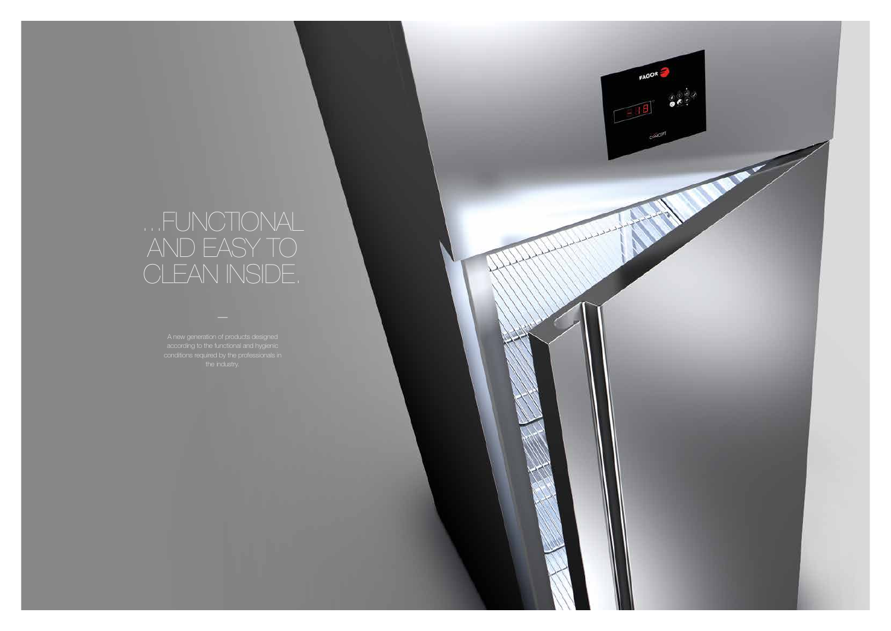# ...FUNCTIONAL AND EASY TO CLEAN INSIDE.

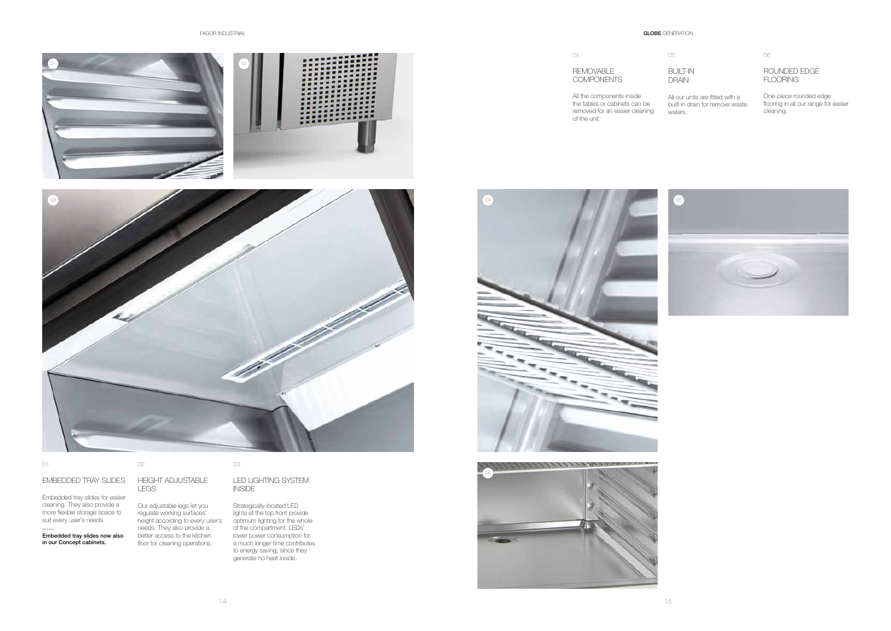FAGOR INDUSTRIAL **GLOBE** GENERATION



| O1                                                                                                                  | 04.<br>REMOVABLE<br>COMPONENTS<br>All the components inside<br>the tables or cabinets can be<br>removed for an easier cleaning<br>of the unit. | 05.<br>BUIL<br>DRA<br>All ou<br>built-<br>wate |
|---------------------------------------------------------------------------------------------------------------------|------------------------------------------------------------------------------------------------------------------------------------------------|------------------------------------------------|
| 03<br>d de la facta de la facta de la facta de la facta de la facta de la facta de la facta de la facta de la facta | $\begin{pmatrix} 0 & 4 \\ 0 & 4 \end{pmatrix}$                                                                                                 | $\alpha$                                       |



Embedded tray slides for easier cleaning. They also provide a more flexible storage space to suit every user's needs.



 $\overline{\phantom{a}}$ 

### EMBEDDED TRAY SLIDES HEIGHT ADJUSTABLE

### Embedded tray slides now also in our Concept cabinets.

### LED LIGHTING SYSTEM **INSIDE**

02.

### LEGS

Our adjustable legs let you regulate working surfaces' height according to every user's needs. They also provide a better access to the kitchen floor for cleaning operations.

### 03.

Strategically located LED lights at the top front provide optimum lighting for the whole of the compartment. LEDs' lower power consumption for a much longer time contributes to energy saving, since they generate no heat inside.



04.

05.

BUILT-IN DRAIN

All our units are fitted with a built-in drain for remove waste waters.

06.

### ROUNDED EDGE FLOORING

One-piece rounded edge flooring in all our range for easier cleaning.

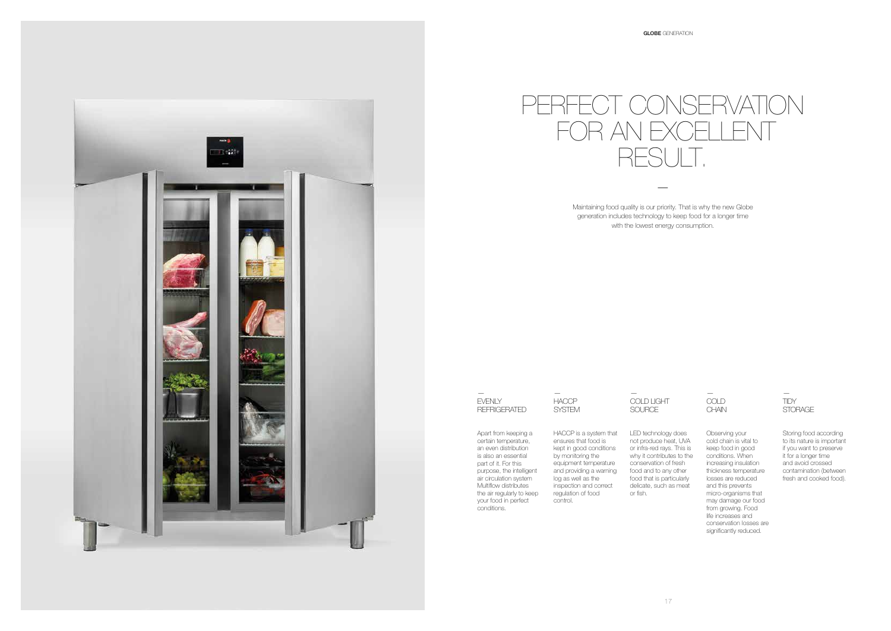— EVENLY REFRIGERATED

### — COLD **CHAIN**

— HACCP SYSTEM

— COLD LIGHT SOURCE

Maintaining food quality is our priority. That is why the new Globe generation includes technology to keep food for a longer time with the lowest energy consumption.

### — TIDY STORAGE

# PERFECT CONSERVATION FOR AN EXCEL RESULT.

—

Apart from keeping a certain temperature, an even distribution is also an essential part of it. For this purpose, the intelligent air circulation system Multiflow distributes the air regularly to keep your food in perfect conditions.

HACCP is a system that ensures that food is kept in good conditions by monitoring the equipment temperature and providing a warning log as well as the inspection and correct regulation of food control.

LED technology does not produce heat, UVA or infra-red rays. This is why it contributes to the conservation of fresh food and to any other food that is particularly delicate, such as meat or fish.



Observing your cold chain is vital to keep food in good conditions. When increasing insulation thickness temperature losses are reduced and this prevents micro-organisms that may damage our food from growing. Food life increases and conservation losses are significantly reduced.

Storing food according to its nature is important if you want to preserve it for a longer time and avoid crossed contamination (between fresh and cooked food).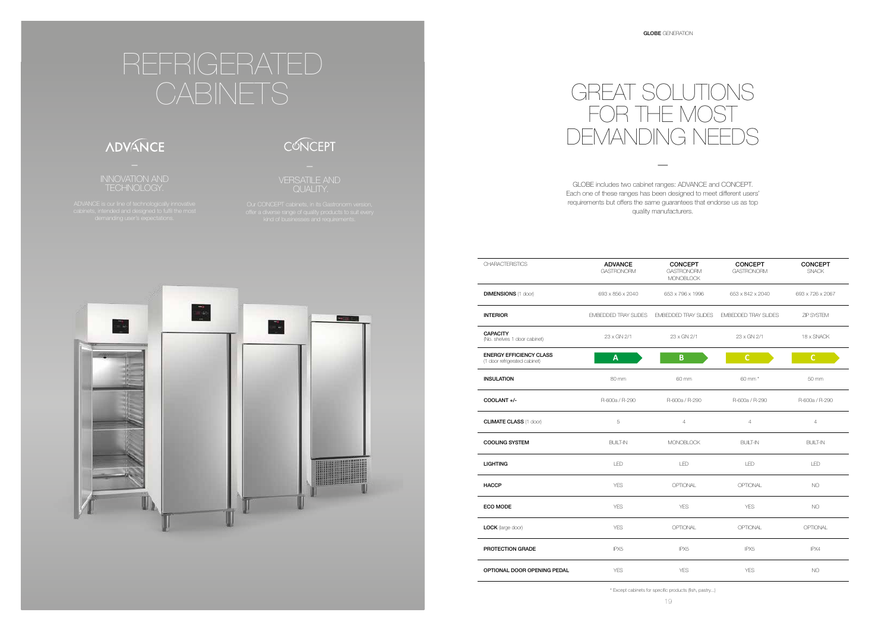| <b>CHARACTERISTICS</b>                                          | <b>ADVANCE</b><br><b>GASTRONORM</b> | <b>CONCEPT</b><br><b>GASTRONORM</b><br><b>MONOBLOCK</b> | <b>CONCEPT</b><br><b>GASTRONORM</b> | <b>CONCEPT</b><br><b>SNACK</b> |
|-----------------------------------------------------------------|-------------------------------------|---------------------------------------------------------|-------------------------------------|--------------------------------|
| <b>DIMENSIONS (1 door)</b>                                      | 693 x 856 x 2040                    | 653 x 796 x 1996                                        | 653 x 842 x 2040                    | 693 x 726 x 2067               |
| <b>INTERIOR</b>                                                 | <b>EMBEDDED TRAY SLIDES</b>         | <b>EMBEDDED TRAY SLIDES</b>                             | <b>EMBEDDED TRAY SLIDES</b>         | ZIP SYSTEM                     |
| <b>CAPACITY</b><br>(No. shelves 1 door cabinet)                 | 23 x GN 2/1                         | 23 x GN 2/1                                             | 23 x GN 2/1                         | 18 x SNACK                     |
| <b>ENERGY EFFICIENCY CLASS</b><br>(1 door refrigerated cabinet) | A                                   | B                                                       | $\mathsf{C}$                        | $\mathsf{C}$                   |
| <b>INSULATION</b>                                               | 80 mm                               | 60 mm                                                   | 60 mm *                             | 50 mm                          |
| COOLANT +/-                                                     | R-600a / R-290                      | R-600a / R-290                                          | R-600a / R-290                      | R-600a / R-290                 |
| <b>CLIMATE CLASS (1 door)</b>                                   | 5                                   | $\overline{4}$                                          | $\overline{4}$                      | $\overline{4}$                 |
| <b>COOLING SYSTEM</b>                                           | <b>BUILT-IN</b>                     | <b>MONOBLOCK</b>                                        | <b>BUILT-IN</b>                     | <b>BUILT-IN</b>                |
| <b>LIGHTING</b>                                                 | LED                                 | LED                                                     | LED                                 | LED                            |
| <b>HACCP</b>                                                    | <b>YES</b>                          | OPTIONAL                                                | OPTIONAL                            | <b>NO</b>                      |
| ECO MODE                                                        | <b>YES</b>                          | <b>YES</b>                                              | <b>YES</b>                          | <b>NO</b>                      |
| LOCK (large door)                                               | <b>YES</b>                          | OPTIONAL                                                | OPTIONAL                            | OPTIONAL                       |
| PROTECTION GRADE                                                | IPX5                                | IPX <sub>5</sub>                                        | IPX5                                | IPX4                           |
| OPTIONAL DOOR OPENING PEDAL                                     | <b>YES</b>                          | <b>YES</b>                                              | <b>YES</b>                          | <b>NO</b>                      |

\* Except cabinets for specific products (fish, pastry...)



—

GLOBE includes two cabinet ranges: ADVANCE and CONCEPT. Each one of these ranges has been designed to meet different users' requirements but offers the same guarantees that endorse us as top quality manufacturers.





# REFRIGERATED CABINETS

# **ADVANCE**

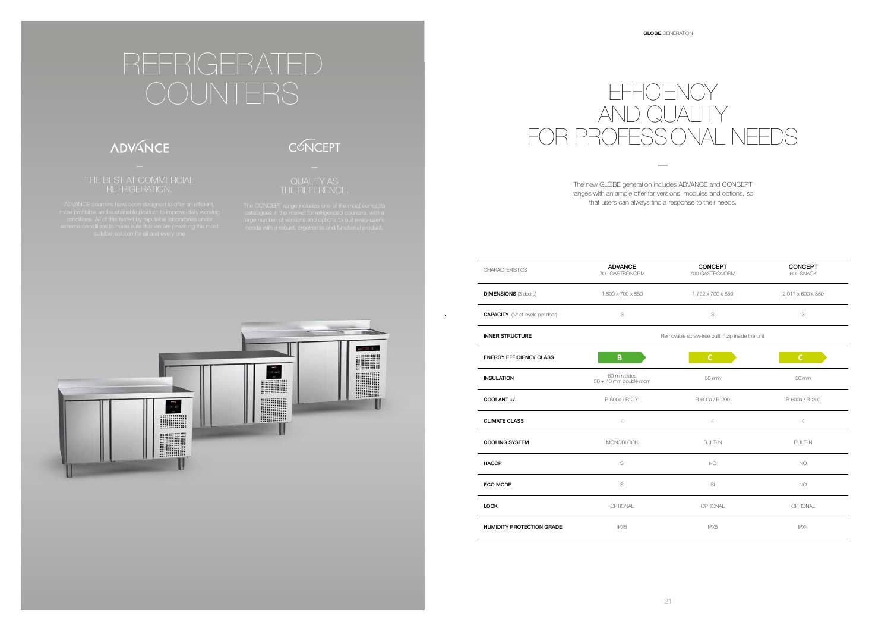# **EFFICIENCY** AND QUALITY FOR PROFESSIONAL NEEDS

—

The new GLOBE generation includes ADVANCE and CONCEPT ranges with an ample offer for versions, modules and options, so that users can always find a response to their needs.

# REFRIGERATED

### **ADVANCE**

### THE BEST AT COMMERCIAL REFRIGERATION.



CONCEPT

 $\sim$ 



| <b>CHARACTERISTICS</b>                  | <b>ADVANCE</b><br>700 GASTRONORM        | <b>CONCEPT</b><br>700 GASTRONORM                  | <b>CONCEPT</b><br>600 SNACK |  |  |
|-----------------------------------------|-----------------------------------------|---------------------------------------------------|-----------------------------|--|--|
| <b>DIMENSIONS (3 doors)</b>             | 1.800 x 700 x 850                       | 1.792 x 700 x 850                                 | 2.017 x 600 x 850           |  |  |
| <b>CAPACITY</b> (N° of levels per door) | 3                                       | 3                                                 | 3                           |  |  |
| <b>INNER STRUCTURE</b>                  |                                         | Removable screw-free built in zip inside the unit |                             |  |  |
| <b>ENERGY EFFICIENCY CLASS</b>          | B                                       | $\mathsf{C}$                                      | $\mathsf{C}$                |  |  |
| <b>INSULATION</b>                       | 60 mm sides<br>$50 + 40$ mm double room | 50 mm                                             | 50 mm                       |  |  |
| COOLANT +/-                             | R-600a / R-290                          | R-600a / R-290                                    | R-600a / R-290              |  |  |
| <b>CLIMATE CLASS</b>                    | $\overline{4}$                          | $\overline{4}$                                    | $\overline{4}$              |  |  |
| <b>COOLING SYSTEM</b>                   | <b>MONOBLOCK</b>                        | <b>BUILT-IN</b>                                   | <b>BUILT-IN</b>             |  |  |
| <b>HACCP</b>                            | SI                                      | NO.                                               | <b>NO</b>                   |  |  |
| <b>ECO MODE</b>                         | SI                                      | S                                                 | <b>NO</b>                   |  |  |
| <b>LOCK</b>                             | OPTIONAL                                | OPTIONAL                                          | OPTIONAL                    |  |  |
| <b>HUMIDITY PROTECTION GRADE</b>        | IPX <sub>5</sub>                        | IPX <sub>5</sub>                                  | IPX4                        |  |  |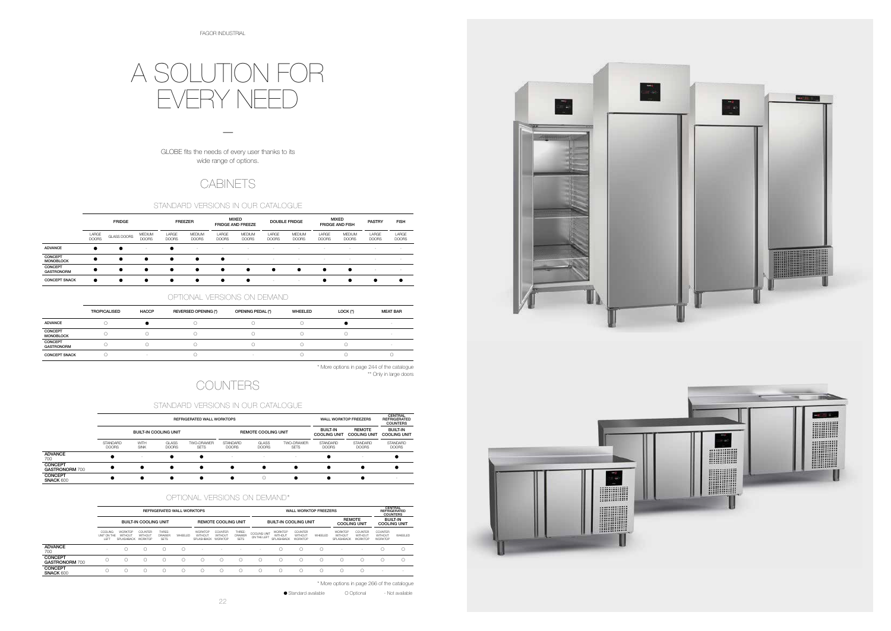# A SOLUTION FOR EVERY NEED

GLOBE fits the needs of every user thanks to its wide range of options.

—

### **CABINETS**

|                                         |                                              | <b>REFRIGERATED WALL WORKTOPS</b>               |                           |                                        |         |                                  |                               |                                        |                             |                                  | <b>WALL WORKTOP FREEZERS</b><br><b>REMOTE</b> |         |                                  |                               |                                             | CENTRAL<br><b>REFRIGERATED</b><br><b>COUNTERS</b><br><b>BUILT-IN</b> |  |
|-----------------------------------------|----------------------------------------------|-------------------------------------------------|---------------------------|----------------------------------------|---------|----------------------------------|-------------------------------|----------------------------------------|-----------------------------|----------------------------------|-----------------------------------------------|---------|----------------------------------|-------------------------------|---------------------------------------------|----------------------------------------------------------------------|--|
|                                         |                                              | <b>BUILT-IN COOLING UNIT</b>                    |                           |                                        |         | <b>REMOTE COOLING UNIT</b>       |                               | <b>BUILT-IN COOLING UNIT</b>           |                             |                                  | <b>COOLING UNIT</b>                           |         | <b>COOLING UNIT</b>              |                               |                                             |                                                                      |  |
|                                         | <b>COOLING</b><br>UNIT ON THE<br><b>IFFT</b> | <b>WORKTOP</b><br>WITHOUT<br>SPLASHBACK WORKTOP | <b>COUNTER</b><br>WITHOUT | THREE-<br><b>DRAWER</b><br><b>SFTS</b> | WHEELED | WORKTOP<br>WITHOUT<br>SPLASHBACK | COUNTER<br>WITHOUT<br>WORKTOP | THREE-<br><b>DRAWER</b><br><b>SETS</b> | COOLING UNIT<br>ON THE LEFT | WORKTOP<br>WITHOUT<br>SPLASHBACK | <b>COUNTER</b><br>WITHOUT<br>WORKTOP          | WHEELED | WORKTOP<br>WITHOUT<br>SPLASHBACK | COUNTER<br>WITHOUT<br>WORKTOP | <b>COUNTER</b><br>WITHOUT<br><b>WORKTOP</b> | WHEELED                                                              |  |
| <b>ADVANCE</b><br>700                   | $\sim$                                       |                                                 |                           |                                        |         |                                  |                               | -                                      | $\sim$                      |                                  |                                               |         | $\sim$                           |                               |                                             |                                                                      |  |
| <b>CONCEPT</b><br><b>GASTRONORM 700</b> |                                              |                                                 |                           |                                        |         |                                  |                               |                                        |                             |                                  |                                               |         |                                  | C                             |                                             |                                                                      |  |
| <b>CONCEPT</b><br><b>SNACK 600</b>      |                                              |                                                 |                           |                                        |         |                                  |                               |                                        | ( )                         |                                  |                                               |         |                                  | C                             | <b>.</b>                                    | $\sim$                                                               |  |

|                                    |                                 |                     | <b>REFRIGERATED WALL WORKTOPS</b> | <b>WALL WORKTOP FREEZERS</b> | CENTRAL<br><b>REFRIGERATED</b><br><b>COUNTERS</b> |                              |                           |                                        |                                      |                                        |
|------------------------------------|---------------------------------|---------------------|-----------------------------------|------------------------------|---------------------------------------------------|------------------------------|---------------------------|----------------------------------------|--------------------------------------|----------------------------------------|
|                                    |                                 |                     | <b>BUILT-IN COOLING UNIT</b>      |                              | <b>REMOTE COOLING UNIT</b>                        |                              |                           | <b>BUILT-IN</b><br><b>COOLING UNIT</b> | <b>REMOTE</b><br><b>COOLING UNIT</b> | <b>BUILT-IN</b><br><b>COOLING UNIT</b> |
|                                    | <b>STANDARD</b><br><b>DOORS</b> | WITH<br><b>SINK</b> | <b>GLASS</b><br><b>DOORS</b>      | TWO-DRAWER<br><b>SETS</b>    | <b>STANDARD</b><br><b>DOORS</b>                   | <b>GLASS</b><br><b>DOORS</b> | TWO-DRAWFR<br><b>SETS</b> | <b>STANDARD</b><br><b>DOORS</b>        | <b>STANDARD</b><br><b>DOORS</b>      | <b>STANDARD</b><br><b>DOORS</b>        |
| <b>ADVANCE</b><br>700              |                                 |                     |                                   |                              | $\sim$                                            | $\sim$                       |                           |                                        |                                      |                                        |
| CONCEPT<br><b>GASTRONORM 700</b>   |                                 |                     |                                   |                              |                                                   |                              |                           |                                        |                                      |                                        |
| <b>CONCEPT</b><br><b>SNACK 600</b> |                                 |                     |                                   |                              |                                                   | $\bigcap$                    |                           |                                        |                                      |                                        |

### STANDARD VERSIONS IN OUR CATALOGUE

### OPTIONAL VERSIONS ON DEMAND\*

|                                     | <b>FRIDGE</b>         |             |                               | <b>FREEZER</b>        |                               |                              | <b>MIXED</b><br><b>FRIDGE AND FREEZE</b> |                       | <b>DOUBLE FRIDGE</b>          |                          | <b>MIXED</b><br><b>FRIDGE AND FISH</b> |                       | <b>FISH</b>              |
|-------------------------------------|-----------------------|-------------|-------------------------------|-----------------------|-------------------------------|------------------------------|------------------------------------------|-----------------------|-------------------------------|--------------------------|----------------------------------------|-----------------------|--------------------------|
|                                     | LARGE<br><b>DOORS</b> | GLASS DOORS | <b>MEDIUM</b><br><b>DOORS</b> | LARGE<br><b>DOORS</b> | <b>MEDIUM</b><br><b>DOORS</b> | <b>LARGE</b><br><b>DOORS</b> | <b>MEDIUM</b><br><b>DOORS</b>            | LARGE<br><b>DOORS</b> | <b>MEDIUM</b><br><b>DOORS</b> | LARGE<br><b>DOORS</b>    | <b>MEDIUM</b><br><b>DOORS</b>          | LARGE<br><b>DOORS</b> | LARGE<br><b>DOORS</b>    |
| <b>ADVANCE</b>                      |                       | $\bullet$   |                               |                       | . .                           | $\sim$                       | $\sim$                                   | $\sim$                | $\sim$                        | $\overline{\phantom{a}}$ | ۰                                      | $\sim$                | $\overline{\phantom{a}}$ |
| <b>CONCEPT</b><br><b>MONOBLOCK</b>  | ٠                     | $\bullet$   | $\bullet$                     | ٠                     |                               |                              | $\sim$                                   | $\sim$                | -                             | $\overline{\phantom{a}}$ | $\overline{\phantom{a}}$               | $\sim$                | $\overline{\phantom{a}}$ |
| <b>CONCEPT</b><br><b>GASTRONORM</b> |                       | $\bullet$   | $\bullet$                     | ٠                     |                               | ٠                            |                                          | ٠                     | $\bullet$                     | - 0                      |                                        | <b>1999</b>           | $\sim$                   |
| <b>CONCEPT SNACK</b>                | ٠                     | $\bullet$   | ٠                             |                       |                               | ٠                            |                                          | $\sim$                | $\sim$                        |                          |                                        |                       |                          |

### STANDARD VERSIONS IN OUR CATALOGUE

### OPTIONAL VERSIONS ON DEMAND

|                                     | <b>TROPICALISED</b> | <b>HACCP</b> | REVERSED OPENING (*) | OPENING PEDAL (*) | WHEELED | LOCK (*) | <b>MEAT BAR</b> |
|-------------------------------------|---------------------|--------------|----------------------|-------------------|---------|----------|-----------------|
| <b>ADVANCE</b>                      |                     |              |                      |                   |         |          |                 |
| <b>CONCEPT</b><br><b>MONOBLOCK</b>  |                     |              |                      |                   |         |          |                 |
| <b>CONCEPT</b><br><b>GASTRONORM</b> |                     |              |                      |                   |         |          |                 |
| <b>CONCEPT SNACK</b>                |                     |              |                      |                   |         |          |                 |

\* More options in page 266 of the catalogue

● Standard available <br> **O** Optional - Not available





\*\* Only in large doors

### **COUNTERS**

\* More options in page 244 of the catalogue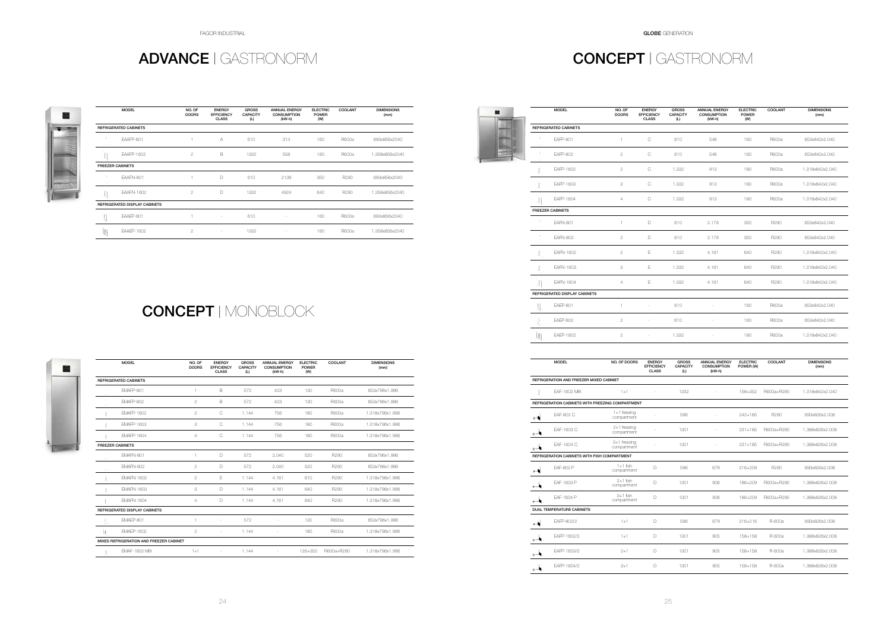FAGOR INDUSTRIAL GLOBE GENERATION

### ADVANCE | GASTRONORM CONCEPT | GASTRONORM





|                            | <b>MODEL</b>                  | NO. OF<br><b>DOORS</b> | <b>ENERGY</b><br><b>EFFICIENCY</b><br><b>CLASS</b> | <b>GROSS</b><br><b>CAPACITY</b><br>(L) | <b>ANNUAL ENERGY</b><br><b>CONSUMPTION</b><br>(kW-h) | <b>ELECTRIC</b><br><b>POWER</b><br>(W) | <b>COOLANT</b> | <b>DIMENSIONS</b><br>(mm) |
|----------------------------|-------------------------------|------------------------|----------------------------------------------------|----------------------------------------|------------------------------------------------------|----------------------------------------|----------------|---------------------------|
|                            | <b>REFRIGERATED CABINETS</b>  |                        |                                                    |                                        |                                                      |                                        |                |                           |
| ÷.<br>$\gamma_{\rm eff}$ . | EAAFP-801                     |                        | A                                                  | 610                                    | 314                                                  | 160                                    | R600a          | 693x856x2040              |
| ÷L.                        | <b>EAAFP-1602</b>             | $\overline{2}$         | B                                                  | 1332                                   | 558                                                  | 160                                    | R600a          | 1.358x856x2040            |
| <b>FREEZER CABINETS</b>    |                               |                        |                                                    |                                        |                                                      |                                        |                |                           |
| ή.<br>75 F                 | EAAFN-801                     |                        | D                                                  | 610                                    | 2139                                                 | 350                                    | R290           | 693x856x2040              |
| ٠I                         | EAAFN-1602                    | $\overline{2}$         | D                                                  | 1332                                   | 4924                                                 | 640                                    | R290           | 1.358x856x2040            |
|                            | REFRIGERATED DISPLAY CABINETS |                        |                                                    |                                        |                                                      |                                        |                |                           |
| 閲.                         | EAAEP-801                     |                        | ٠                                                  | 610                                    | $\overline{\phantom{a}}$                             | 160                                    | R600a          | 693x856x2040              |
| 剛                          | <b>EAAEP-1602</b>             | $\overline{2}$         |                                                    | 1332                                   |                                                      | 160                                    | R600a          | 1.358x856x2040            |

|       | <b>MODEL</b>                            | NO. OF<br><b>DOORS</b> | <b>ENERGY</b><br><b>EFFICIENCY</b><br><b>CLASS</b> | <b>GROSS</b><br><b>CAPACITY</b><br>(L) | <b>ANNUAL ENERGY</b><br><b>CONSUMPTION</b><br>(kW-h) | <b>ELECTRIC</b><br><b>POWER</b><br>(W) | COOLANT          | <b>DIMENSIONS</b><br>(mm) |
|-------|-----------------------------------------|------------------------|----------------------------------------------------|----------------------------------------|------------------------------------------------------|----------------------------------------|------------------|---------------------------|
|       | <b>REFRIGERATED CABINETS</b>            |                        |                                                    |                                        |                                                      |                                        |                  |                           |
| 15,77 | EMAFP-801                               | $\mathbf{1}$           | B                                                  | 572                                    | 423                                                  | 130                                    | R600a            | 653x796x1.996             |
| ×11   | <b>EMAFP-802</b>                        | $\mathbf{2}$           | B                                                  | 572                                    | 423                                                  | 130                                    | R600a            | 653x796x1.996             |
|       | <b>EMAFP-1602</b>                       | $\overline{2}$         | C                                                  | 1.144                                  | 756                                                  | 180                                    | R600a            | 1.318x796x1.996           |
|       | <b>EMAFP-1603</b>                       | 3                      | C                                                  | 1.144                                  | 756                                                  | 180                                    | R600a            | 1.318x796x1.996           |
|       | <b>FMAFP-1604</b>                       | $\overline{4}$         | C                                                  | 1.144                                  | 756                                                  | 180                                    | R600a            | 1.318x796x1.996           |
|       | <b>FREEZER CABINETS</b>                 |                        |                                                    |                                        |                                                      |                                        |                  |                           |
| 15,00 | EMAFN-801                               | $\mathbf{1}$           | D                                                  | 572                                    | 2.040                                                | 520                                    | R290             | 653x796x1.996             |
|       | EMAFN-802                               | $\overline{2}$         | D                                                  | 572                                    | 2.040                                                | 520                                    | R290             | 653x796x1.996             |
|       | <b>EMAFN-1602</b>                       | $\overline{2}$         | E                                                  | 1.144                                  | 4.161                                                | 610                                    | R290             | 1.318x796x1.996           |
|       | <b>EMAFN-1603</b>                       | 3                      | $\Box$                                             | 1.144                                  | 4.161                                                | 640                                    | R <sub>290</sub> | 1.318x796x1.996           |
|       | <b>EMAFN-1604</b>                       | 4                      | $\Box$                                             | 1.144                                  | 4.161                                                | 640                                    | R290             | 1.318x796x1.996           |
|       | REFRIGERATED DISPLAY CABINETS           |                        |                                                    |                                        |                                                      |                                        |                  |                           |
| ţ,    | <b>FMAFP-801</b>                        | $\mathbf{1}$           | ÷,                                                 | 572                                    | $\overline{\phantom{m}}$                             | 130                                    | R600a            | 653x796x1.996             |
| 丰     | <b>EMAEP-1602</b>                       | $\overline{2}$         | ä,                                                 | 1.144                                  | $\sim$                                               | 180                                    | R600a            | 1.318x796x1.996           |
|       | MIXED REFRIGERATION AND FREEZER CABINET |                        |                                                    |                                        |                                                      |                                        |                  |                           |
|       | <b>FMAF-1602 MIX</b>                    | $1 + 1$                | $\sim$                                             | 1.144                                  | $\overline{\phantom{a}}$                             | 126+352                                | R600a+R290       | 1.318x796x1.996           |
|       |                                         |                        |                                                    |                                        |                                                      |                                        |                  |                           |

|                  | <b>MODEL</b>                         | NO. OF<br><b>DOORS</b> | <b>ENERGY</b><br><b>EFFICIENCY</b><br><b>CLASS</b> | <b>GROSS</b><br><b>CAPACITY</b><br>(L) | <b>ANNUAL ENERGY</b><br><b>CONSUMPTION</b><br>(kW-h) | <b>ELECTRIC</b><br><b>POWER</b><br>(W) | COOLANT | <b>DIMENSIONS</b><br>(mm) |
|------------------|--------------------------------------|------------------------|----------------------------------------------------|----------------------------------------|------------------------------------------------------|----------------------------------------|---------|---------------------------|
|                  | <b>REFRIGERATED CABINETS</b>         |                        |                                                    |                                        |                                                      |                                        |         |                           |
| п,<br>t.         | <b>EAFP-801</b>                      | $\mathbf{1}$           | $\mathbb C$                                        | 610                                    | 548                                                  | 160                                    | R600a   | 653x842x2.040             |
|                  | <b>EAFP-802</b>                      | $\overline{2}$         | C                                                  | 610                                    | 548                                                  | 160                                    | R600a   | 653x842x2.040             |
|                  | EAFP-1602                            | $\overline{2}$         | C                                                  | 1.332                                  | 913                                                  | 180                                    | R600a   | 1.318x842x2.040           |
|                  | EAFP-1603                            | 3                      | C                                                  | 1.332                                  | 913                                                  | 180                                    | R600a   | 1.318x842x2.040           |
| . Fi             | EAFP-1604                            | $\overline{4}$         | C                                                  | 1.332                                  | 913                                                  | 180                                    | R600a   | 1.318x842x2.040           |
|                  | <b>FREEZER CABINETS</b>              |                        |                                                    |                                        |                                                      |                                        |         |                           |
| п,<br>÷.         | <b>EAFN-801</b>                      | $\mathbf{1}$           | D                                                  | 610                                    | 2.179                                                | 350                                    | R290    | 653x842x2.040             |
|                  | <b>EAFN-802</b>                      | $\overline{2}$         | D                                                  | 610                                    | 2.179                                                | 350                                    | R290    | 653x842x2.040             |
|                  | EAFN-1602                            | $\overline{c}$         | Ε                                                  | 1.332                                  | 4.161                                                | 640                                    | R290    | 1.318x842x2.040           |
|                  | EAFN-1603                            | 3                      | Ε                                                  | 1.332                                  | 4.161                                                | 640                                    | R290    | 1.318x842x2.040           |
| ٠Ĥ               | EAFN-1604                            | $\overline{4}$         | Ε                                                  | 1.332                                  | 4.161                                                | 640                                    | R290    | 1.318x842x2.040           |
|                  | <b>REFRIGERATED DISPLAY CABINETS</b> |                        |                                                    |                                        |                                                      |                                        |         |                           |
| Ę                | <b>EAEP-801</b>                      | $\mathbf{1}$           | $\bar{\phantom{a}}$                                | 610                                    | $\overline{\phantom{a}}$                             | 160                                    | R600a   | 653x842x2.040             |
| $\mathbb{R}_+^2$ | <b>EAEP-802</b>                      | $\overline{2}$         | ä,                                                 | 610                                    |                                                      | 160                                    | R600a   | 653x842x2.040             |
| 剛                | EAEP-1602                            | $\overline{2}$         | $\overline{\phantom{a}}$                           | 1.332                                  | $\overline{\phantom{a}}$                             | 180                                    | R600a   | 1.318x842x2.040           |
|                  |                                      |                        |                                                    |                                        |                                                      |                                        |         |                           |

|                | <b>MODEL</b>                            | NO. OF DOORS                                     | <b>ENERGY</b><br><b>EFFICIENCY</b><br><b>CLASS</b> | <b>GROSS</b><br><b>CAPACITY</b><br>(L) | <b>ANNUAL ENERGY</b><br><b>CONSUMPTION</b><br>(kW-h) | <b>ELECTRIC</b><br>POWER (W) | COOLANT    | <b>DIMENSIONS</b><br>(mm) |
|----------------|-----------------------------------------|--------------------------------------------------|----------------------------------------------------|----------------------------------------|------------------------------------------------------|------------------------------|------------|---------------------------|
|                | REFRIGERATION AND FREEZER MIXED CABINET |                                                  |                                                    |                                        |                                                      |                              |            |                           |
|                | EAF-1602 MIX                            | $1+1$                                            | ×.                                                 | 1332                                   | ×.                                                   | 158+352                      | R600a+R290 | 1.318x842x2.040           |
|                |                                         | REFRIGERATION CABINETS WITH FREEZING COMPARTMENT |                                                    |                                        |                                                      |                              |            |                           |
| $c -$          | EAF-802 C                               | $1+1$ freezing<br>compartment                    |                                                    | 596                                    | ä,                                                   | $242 + 185$                  | R290       | 693x826x2.008             |
| cА.            | EAF-1603 C                              | $2+1$ freezing<br>compartment                    |                                                    | 1301                                   | ä,                                                   | $231 + 185$                  | R600a+R290 | 1.388x826x2.008           |
| د ⊸            | EAF-1604 C                              | 3+1 freezing<br>compartment                      |                                                    | 1301                                   |                                                      | $231 + 185$                  | R600a+R290 | 1.388x826x2.008           |
|                |                                         | REFRIGERATION CABINETS WITH FISH COMPARTMENT     |                                                    |                                        |                                                      |                              |            |                           |
| $\overline{a}$ | EAF-802 P                               | $1+1$ fish<br>compartment                        | D                                                  | 596                                    | 679                                                  | $216 + 209$                  | R290       | 693x826x2.008             |
| e — l∎         | EAF-1603 P                              | $2+1$ fish<br>compartment                        | D                                                  | 1301                                   | 906                                                  | 186+209                      | R600a+R290 | 1.388x826x2.008           |
| والمنزو        | FAF-1604 P                              | $3+1$ fish<br>compartment                        | D                                                  | 1301                                   | 906                                                  | 186+209                      | R600a+R290 | 1.388x826x2.008           |
|                | <b>DUAL TEMPERATURE CABINETS</b>        |                                                  |                                                    |                                        |                                                      |                              |            |                           |
| $c -$          | EAFP-802/2                              | $1 + 1$                                          | D                                                  | 596                                    | 679                                                  | $216 + 216$                  | R-600a     | 693x826x2.008             |
| $\rightarrow$  | EAFP-1602/2                             | $1 + 1$                                          | D                                                  | 1301                                   | 905                                                  | 158+158                      | R-600a     | 1.388x826x2.008           |
| ∎⊸ہ            | EAFP-1603/2                             | $2 + 1$                                          | D                                                  | 1301                                   | 905                                                  | $158 + 158$                  | R-600a     | 1.388x826x2.008           |
| с⊶∎.           | EAFP-1604/2                             | $3 + 1$                                          | D                                                  | 1301                                   | 905                                                  | $158 + 158$                  | R-600a     | 1.388x826x2.008           |
|                |                                         |                                                  |                                                    |                                        |                                                      |                              |            |                           |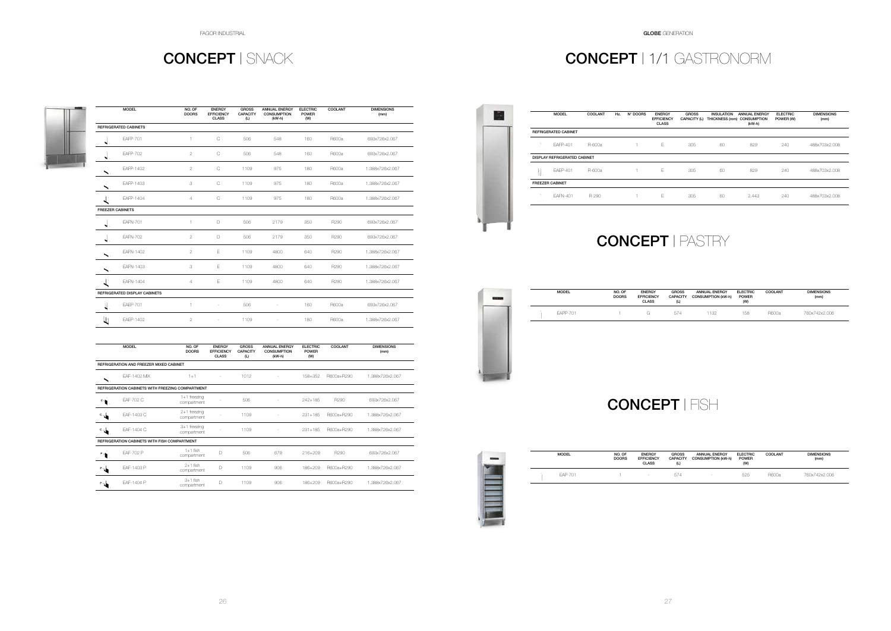### CONCEPT | SNACK

### CONCEPT | PASTRY

# CONCEPT | FISH

|                         | <b>MODEL</b>                  | NO. OF<br><b>DOORS</b> | <b>ENERGY</b><br><b>EFFICIENCY</b><br><b>CLASS</b> | <b>GROSS</b><br><b>CAPACITY</b><br>(L) | <b>ANNUAL ENERGY</b><br><b>CONSUMPTION</b><br>(kW-h) | <b>ELECTRIC</b><br><b>POWER</b><br>(W) | COOLANT | <b>DIMENSIONS</b><br>(mm) |
|-------------------------|-------------------------------|------------------------|----------------------------------------------------|----------------------------------------|------------------------------------------------------|----------------------------------------|---------|---------------------------|
|                         | <b>REFRIGERATED CABINETS</b>  |                        |                                                    |                                        |                                                      |                                        |         |                           |
| ₩                       | <b>EAFP-701</b>               | $\mathbf{1}$           | $\mathsf{C}$                                       | 506                                    | 548                                                  | 160                                    | R600a   | 693x726x2.067             |
| N                       | <b>EAFP-702</b>               | $\mathbf{2}$           | $\mathbb C$                                        | 506                                    | 548                                                  | 160                                    | R600a   | 693x726x2.067             |
|                         | EAFP-1402                     | $\overline{2}$         | $\mathcal{C}$                                      | 1109                                   | 975                                                  | 180                                    | R600a   | 1.388x726x2.067           |
|                         | <b>EAFP-1403</b>              | 3                      | $\mathcal{C}$                                      | 1109                                   | 975                                                  | 180                                    | R600a   | 1.388x726x2.067           |
| L.                      | EAFP-1404                     | $\overline{4}$         | $\mathcal{C}$                                      | 1109                                   | 975                                                  | 180                                    | R600a   | 1.388x726x2.067           |
| <b>FREEZER CABINETS</b> |                               |                        |                                                    |                                        |                                                      |                                        |         |                           |
| ₩                       | <b>EAFN-701</b>               | $\mathbf{1}$           | D                                                  | 506                                    | 2179                                                 | 350                                    | R290    | 693x726x2.067             |
| N                       | <b>EAFN-702</b>               | $\overline{2}$         | D                                                  | 506                                    | 2179                                                 | 350                                    | R290    | 693x726x2.067             |
| ╲.                      | EAFN-1402                     | $\overline{2}$         | Ε                                                  | 1109                                   | 4800                                                 | 640                                    | R290    | 1.388x726x2.067           |
|                         | EAFN-1403                     | 3                      | E                                                  | 1109                                   | 4800                                                 | 640                                    | R290    | 1.388x726x2.067           |
| 上                       | EAFN-1404                     | 4                      | Е                                                  | 1109                                   | 4800                                                 | 640                                    | R290    | 1.388x726x2.067           |
|                         | REFRIGERATED DISPLAY CABINETS |                        |                                                    |                                        |                                                      |                                        |         |                           |
| $\mathbf{z}$            | <b>EAEP-701</b>               | $\mathbf{1}$           | $\overline{\phantom{a}}$                           | 506                                    | $\overline{\phantom{a}}$                             | 160                                    | R600a   | 693x726x2.067             |
| L                       | EAEP-1402                     | $\overline{2}$         | ×                                                  | 1109                                   | $\sim$                                               | 180                                    | R600a   | 1.388x726x2.067           |

|                           | <b>MODEL</b>                                     | NO. OF<br><b>DOORS</b>        | <b>ENERGY</b><br><b>EFFICIENCY</b><br><b>CLASS</b> | <b>GROSS</b><br><b>CAPACITY</b><br>(L) | <b>ANNUAL ENERGY</b><br><b>CONSUMPTION</b><br>$(kW-h)$ | <b>ELECTRIC</b><br><b>POWER</b><br>(W) | COOLANT    | <b>DIMENSIONS</b><br>(mm) |
|---------------------------|--------------------------------------------------|-------------------------------|----------------------------------------------------|----------------------------------------|--------------------------------------------------------|----------------------------------------|------------|---------------------------|
|                           | REFRIGERATION AND FREEZER MIXED CABINET          |                               |                                                    |                                        |                                                        |                                        |            |                           |
| $\blacktriangleright$     | EAF-1402 MIX                                     | $1 + 1$                       |                                                    | 1012                                   |                                                        | 158+352                                | R600a+R290 | 1.388x726x2.067           |
|                           | REFRIGERATION CABINETS WITH FREEZING COMPARTMENT |                               |                                                    |                                        |                                                        |                                        |            |                           |
| $^{\circ}$ $\blacksquare$ | EAF-702 C                                        | $1+1$ freezing<br>compartment |                                                    | 506                                    |                                                        | $242 + 185$                            | R290       | 693x726x2.067             |
| ू√                        | EAF-1403 C                                       | $2+1$ freezing<br>compartment |                                                    | 1109                                   |                                                        | $231 + 185$                            | R600a+R290 | 1.388x726x2.067           |
| ू√                        | EAF-1404 C                                       | $3+1$ freezing<br>compartment |                                                    | 1109                                   |                                                        | $231 + 185$                            | R600a+R290 | 1.388x726x2.067           |
|                           | REFRIGERATION CABINETS WITH FISH COMPARTMENT     |                               |                                                    |                                        |                                                        |                                        |            |                           |
| $^{\circ}$ $\bullet$      | EAF-702 P                                        | $1+1$ fish<br>compartment     | D                                                  | 506                                    | 679                                                    | $216 + 209$                            | R290       | 693x726x2.067             |
| ੈ                         | EAF-1403 P                                       | $2+1$ fish<br>compartment     | D                                                  | 1109                                   | 906                                                    | 186+209                                | R600a+R290 | 1.388x726x2.067           |
| P s                       | EAF-1404 P                                       | $3+1$ fish<br>compartment     | D                                                  | 1109                                   | 906                                                    | 186+209                                | R600a+R290 | 1.388x726x2.067           |

|    | <b>MODEL</b>    | NO. OF<br><b>DOORS</b> |
|----|-----------------|------------------------|
| 78 | <b>EAPP-701</b> |                        |
|    |                 |                        |
|    |                 |                        |
|    |                 |                        |
|    |                 |                        |

| <b>MODEL</b> | NO. OF<br><b>DOORS</b> | <b>ENERGY</b><br><b>EFFICIENCY</b><br><b>CLASS</b> | <b>GROSS</b><br><b>CAPACITY</b><br>(L) | <b>ANNUAL ENERGY</b><br><b>CONSUMPTION (kW-h)</b> | <b>ELECTRIC</b><br><b>POWER</b><br>(W) | COOLANT | <b>DIMENSIONS</b><br>(mm) |
|--------------|------------------------|----------------------------------------------------|----------------------------------------|---------------------------------------------------|----------------------------------------|---------|---------------------------|
| FAPP-701     |                        | $\sim$ $\sim$                                      | 574                                    | 132                                               | 158                                    | R600a   | 760x742x2.006             |



|  | <b>MODEL</b> | NO. OF<br><b>DOORS</b> | <b>ENERGY</b><br><b>EFFICIENCY</b><br><b>CLASS</b> | <b>GROSS</b><br><b>CAPACITY</b><br>(L) | <b>ANNUAL ENERGY</b><br><b>CONSUMPTION (kW-h)</b> | <b>ELECTRIC</b><br><b>POWER</b><br>(M) | COOLANT | <b>DIMENSIONS</b><br>(mm) |
|--|--------------|------------------------|----------------------------------------------------|----------------------------------------|---------------------------------------------------|----------------------------------------|---------|---------------------------|
|  | EAP-701      |                        | $\sim$                                             | 574                                    | $\sim$                                            | 525                                    | R600a   | 760x742x2.006             |
|  |              |                        |                                                    |                                        |                                                   |                                        |         |                           |
|  |              |                        |                                                    |                                        |                                                   |                                        |         |                           |

# CONCEPT | 1/1 GASTRONORM

REFRIGERATED CABINET

| <b>MODEL</b>              | <b>COOLANT</b> | Hz. | N° DOORS | <b>ENERGY</b><br><b>EFFICIENCY</b><br><b>CLASS</b> | <b>GROSS</b><br>CAPACITY (L) | <b>INSULATION</b><br>THICKNESS (mm) CONSUMPTION | <b>ANNUAL ENERGY</b><br>(kW-h) | <b>ELECTRIC</b><br>POWER (W) | <b>DIMENSIONS</b><br>(mm) |
|---------------------------|----------------|-----|----------|----------------------------------------------------|------------------------------|-------------------------------------------------|--------------------------------|------------------------------|---------------------------|
| <b>TED CABINET</b>        |                |     |          |                                                    |                              |                                                 |                                |                              |                           |
| FAFP-401                  | R-600a         |     |          | Е                                                  | 305                          | 60                                              | 829                            | 240                          | 488x703x2.008             |
| <b>FRIGERATED CABINET</b> |                |     |          |                                                    |                              |                                                 |                                |                              |                           |
| <b>EAEP-401</b>           | R-600a         |     | 1.       | Е                                                  | 305                          | 60                                              | 829                            | 240                          | 488x703x2.008             |
| <b>ABINET</b>             |                |     |          |                                                    |                              |                                                 |                                |                              |                           |
| <b>EAFN-401</b>           | R-290          |     | 1        | Ε                                                  | 305                          | 60                                              | 2.443                          | 240                          | 488x703x2.008             |

DISPLAY REFRIGERATED CABINET

FREEZER CABINET

乱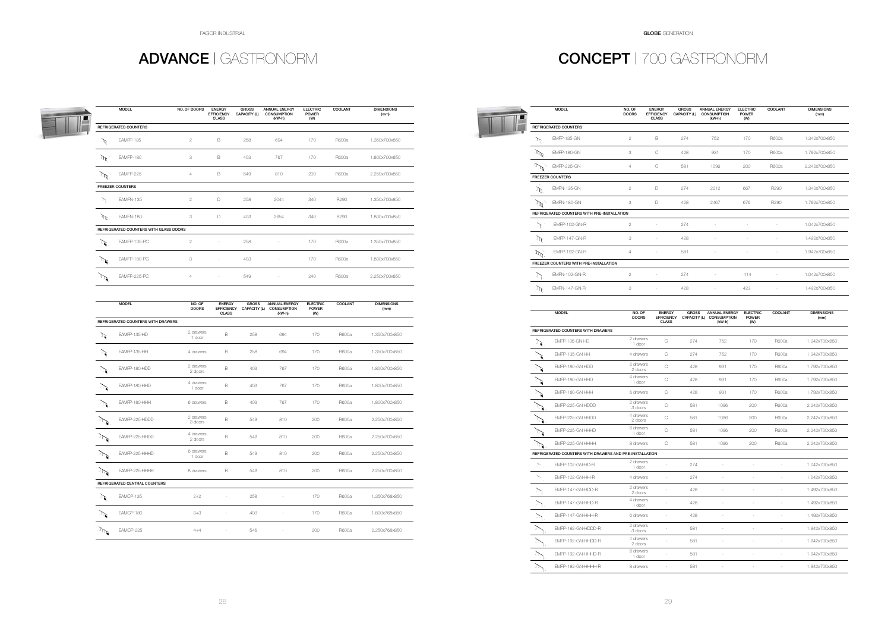FAGOR INDUSTRIAL GLOBE GENERATION

# ADVANCE | GASTRONORM CONCEPT | 700 GASTRONORM

|                 | <b>MODEL</b>                           | NO. OF DOORS   | <b>ENERGY</b><br><b>EFFICIENCY</b><br><b>CLASS</b> | <b>GROSS</b><br>CAPACITY (L) | <b>ANNUAL ENERGY</b><br><b>CONSUMPTION</b><br>$(kW-h)$ | <b>ELECTRIC</b><br><b>POWER</b><br>(W) | COOLANT | <b>DIMENSIONS</b><br>(mm) |
|-----------------|----------------------------------------|----------------|----------------------------------------------------|------------------------------|--------------------------------------------------------|----------------------------------------|---------|---------------------------|
|                 | <b>REFRIGERATED COUNTERS</b>           |                |                                                    |                              |                                                        |                                        |         |                           |
| Ŀ               | EAMFP-135                              | $\overline{2}$ | B                                                  | 258                          | 694                                                    | 170                                    | R600a   | 1.350x700x850             |
| $\mathcal{M}$ . | EAMFP-180                              | 3              | B                                                  | 403                          | 767                                                    | 170                                    | R600a   | 1.800x700x850             |
| $\mathcal{M}$   | EAMFP-225                              | $\overline{4}$ | B                                                  | 549                          | 810                                                    | 200                                    | R600a   | 2.250x700x850             |
|                 | <b>FREEZER COUNTERS</b>                |                |                                                    |                              |                                                        |                                        |         |                           |
| Ŀ.              | EAMFN-135                              | $\overline{2}$ | D                                                  | 258                          | 2044                                                   | 340                                    | R290    | 1.350x700x850             |
| $\mathbb{P}^2$  | EAMFN-180                              | 3              | D                                                  | 403                          | 2654                                                   | 340                                    | R290    | 1.800x700x850             |
|                 | REFRIGERATED COUNTERS WITH GLASS DOORS |                |                                                    |                              |                                                        |                                        |         |                           |
| ना ज            | EAMFP-135-PC                           | $\overline{2}$ |                                                    | 258                          |                                                        | 170                                    | R600a   | 1.350x700x850             |
| $\sqrt{2}$      | EAMFP-180-PC                           | 3              | ×                                                  | 403                          | $\sim$                                                 | 170                                    | R600a   | 1.800x700x850             |
| Þ               | EAMFP-225-PC                           | $\overline{4}$ | ٠                                                  | 549                          | ٠                                                      | 240                                    | R600a   | 2.250x700x850             |

|               | <b>MODEL</b>                       | NO. OF<br><b>DOORS</b> | <b>ENERGY</b><br><b>EFFICIENCY</b><br><b>CLASS</b> | <b>GROSS</b><br>CAPACITY (L) | <b>ANNUAL ENERGY</b><br><b>CONSUMPTION</b><br>$(kW-h)$ | <b>ELECTRIC</b><br><b>POWER</b><br>(W) | COOLANT      | <b>DIMENSIONS</b><br>(mm) |
|---------------|------------------------------------|------------------------|----------------------------------------------------|------------------------------|--------------------------------------------------------|----------------------------------------|--------------|---------------------------|
|               | REFRIGERATED COUNTERS WITH DRAWERS |                        |                                                    |                              |                                                        |                                        |              |                           |
| 乃             | EAMFP-135-HD                       | 2 drawers<br>1 door    | B                                                  | 258                          | 694                                                    | 170                                    | <b>R600a</b> | 1.350x700x850             |
|               | EAMFP-135-HH                       | 4 drawers              | B                                                  | 258                          | 694                                                    | 170                                    | R600a        | 1.350x700x850             |
|               | EAMFP-180-HDD                      | 2 drawers<br>2 doors   | B                                                  | 403                          | 767                                                    | 170                                    | R600a        | 1.800x700x850             |
|               | EAMFP-180-HHD                      | 4 drawers<br>1 door    | B                                                  | 403                          | 767                                                    | 170                                    | R600a        | 1.800x700x850             |
|               | EAMFP-180-HHH                      | 6 drawers              | B                                                  | 403                          | 767                                                    | 170                                    | R600a        | 1.800x700x850             |
|               | EAMFP-225-HDDD                     | 2 drawers<br>3 doors   | B                                                  | 549                          | 810                                                    | 200                                    | <b>R600a</b> | 2.250x700x850             |
|               | EAMFP-225-HHDD                     | 4 drawers<br>2 doors   | B                                                  | 549                          | 810                                                    | 200                                    | R600a        | 2.250x700x850             |
|               | EAMFP-225-HHHD                     | 6 drawers<br>1 door    | B                                                  | 549                          | 810                                                    | 200                                    | R600a        | 2.250x700x850             |
|               | EAMFP-225-HHHH                     | 8 drawers              | B                                                  | 549                          | 810                                                    | 200                                    | R600a        | 2.250x700x850             |
|               | REFRIGERATED CENTRAL COUNTERS      |                        |                                                    |                              |                                                        |                                        |              |                           |
| $\mathbb{F}$  | EAMCP-135                          | $2 + 2$                |                                                    | 258                          | ÷,                                                     | 170                                    | R600a        | 1.350x768x850             |
| $\mathcal{L}$ | EAMCP-180                          | $3 + 3$                | $\sim$                                             | 403                          | $\overline{\phantom{a}}$                               | 170                                    | R600a        | 1.800x768x850             |
|               | EAMCP-225                          | $4 + 4$                | ä,                                                 | 546                          | ÷,                                                     | 200                                    | R600a        | 2.250x768x850             |
|               |                                    |                        |                                                    |                              |                                                        |                                        |              |                           |

|                            | <b>MODEL</b>                                            | NO. OF<br><b>DOORS</b> | <b>ENERGY</b><br><b>EFFICIENCY</b><br><b>CLASS</b> | <b>GROSS</b><br>CAPACITY (L) | <b>ANNUAL ENERGY</b><br><b>CONSUMPTION</b><br>(kW-h) | <b>ELECTRIC</b><br><b>POWER</b><br>(M) | COOLANT                  | <b>DIMENSIONS</b><br>(mm) |
|----------------------------|---------------------------------------------------------|------------------------|----------------------------------------------------|------------------------------|------------------------------------------------------|----------------------------------------|--------------------------|---------------------------|
|                            | REFRIGERATED COUNTERS                                   |                        |                                                    |                              |                                                      |                                        |                          |                           |
| Ÿ.                         | <b>EMFP-135-GN</b>                                      | $\overline{c}$         | В                                                  | 274                          | 752                                                  | 170                                    | R600a                    | 1.342x700x850             |
| $\mathcal{M}^{\mathbb{R}}$ | <b>EMFP-180-GN</b>                                      | 3                      | С                                                  | 428                          | 931                                                  | 170                                    | R600a                    | 1.792x700x850             |
| $\mathbb{Z}$               | <b>EMFP-225-GN</b>                                      | $\overline{4}$         | С                                                  | 581                          | 1096                                                 | 200                                    | R600a                    | 2.242x700x850             |
|                            | <b>FREEZER COUNTERS</b>                                 |                        |                                                    |                              |                                                      |                                        |                          |                           |
| Ŀ                          | <b>EMFN-135-GN</b>                                      | 2                      | D                                                  | 274                          | 2212                                                 | 667                                    | R290                     | 1.342x700x850             |
| $\mathcal{A}$              | <b>EMFN-180-GN</b>                                      | 3                      | D                                                  | 428                          | 2467                                                 | 676                                    | R290                     | 1.792x700x850             |
|                            | REFRIGERATED COUNTERS WITH PRE-INSTALLATION             |                        |                                                    |                              |                                                      |                                        |                          |                           |
| ो                          | EMFP-102-GN-R                                           | $\overline{c}$         | ÷,                                                 | 274                          | ÷.                                                   | ł,                                     |                          | 1.042x700x850             |
| $\mathcal{M}$              | <b>EMFP-147-GN-R</b>                                    | 3                      | ÷,                                                 | 428                          |                                                      | š                                      |                          | 1.492x700x850             |
| $\tilde{\mathcal{P}}$      | <b>EMFP-192-GN-R</b>                                    | 4                      | ×                                                  | 581                          |                                                      | ł,                                     |                          | 1.942x700x850             |
|                            | FREEZER COUNTERS WITH PRE-INSTALLATION                  |                        |                                                    |                              |                                                      |                                        |                          |                           |
| ٦.                         | <b>EMFN-102-GN-R</b>                                    | $\mathbf{2}$           |                                                    | 274                          |                                                      | 414                                    |                          | 1.042x700x850             |
| $\mathcal{M}$              | EMFN-147-GN-R                                           | 3                      | ÷,                                                 | 428                          | ÷.                                                   | 423                                    |                          | 1.492x700x850             |
|                            | <b>MODEL</b>                                            | NO. OF<br><b>DOORS</b> | <b>ENERGY</b><br><b>EFFICIENCY</b><br><b>CLASS</b> | <b>GROSS</b><br>CAPACITY (L) | <b>ANNUAL ENERGY</b><br><b>CONSUMPTION</b><br>(kW-h) | <b>ELECTRIC</b><br><b>POWER</b><br>(W) | COOLANT                  | <b>DIMENSIONS</b><br>(mm) |
|                            | REFRIGERATED COUNTERS WITH DRAWERS                      |                        |                                                    |                              |                                                      |                                        |                          |                           |
| े हैं।                     | EMFP-135-GN HD                                          | 2 drawers<br>1 door    | C                                                  | 274                          | 752                                                  | 170                                    | R600a                    | 1.342x700x850             |
|                            | EMFP-135-GN HH                                          | 4 drawers              | C                                                  | 274                          | 752                                                  | 170                                    | R600a                    | 1.342x700x850             |
|                            | EMFP-180-GN HDD                                         | 2 drawers<br>2 doors   | C                                                  | 428                          | 931                                                  | 170                                    | R600a                    | 1.792x700x850             |
|                            | EMFP-180-GN HHD                                         | 4 drawers<br>1 door    | C                                                  | 428                          | 931                                                  | 170                                    | R600a                    | 1.792x700x850             |
|                            | EMFP-180-GN HHH                                         | 6 drawers              | C                                                  | 428                          | 931                                                  | 170                                    | R600a                    | 1.792x700x850             |
|                            | EMFP-225-GN HDDD                                        | 2 drawers<br>3 doors   | C                                                  | 581                          | 1096                                                 | 200                                    | R600a                    | 2.242x700x850             |
|                            | EMFP-225-GN HHDD                                        | 4 drawers<br>2 doors   | C                                                  | 581                          | 1096                                                 | 200                                    | R600a                    | 2.242x700x850             |
|                            | EMFP-225-GN HHHD                                        | 6 drawers<br>1 door    | $\mathsf{C}$                                       | 581                          | 1096                                                 | 200                                    | R600a                    | 2.242x700x850             |
| $\mathcal{P}$              | EMFP-225-GN HHHH                                        | 8 drawers              | С                                                  | 581                          | 1096                                                 | 200                                    | R600a                    | 2.242x700x850             |
|                            | REFRIGERATED COUNTERS WITH DRAWERS AND PRE-INSTALLATION |                        |                                                    |                              |                                                      |                                        |                          |                           |
| ╲                          | EMFP-102-GN-HD-R                                        | 2 drawers<br>1 door    |                                                    | 274                          |                                                      |                                        |                          | 1.042x700x850             |
|                            | EMFP-102-GN-HH-R                                        | 4 drawers              | $\overline{\phantom{a}}$                           | 274                          | ÷,                                                   | ×                                      | ÷,                       | 1.042x700x850             |
|                            | EMFP-147-GN-HDD-R                                       | 2 drawers<br>2 doors   | i,                                                 | 428                          | $\bar{\phantom{a}}$                                  | ÷,                                     | ÷,                       | 1.492x700x850             |
|                            | EMFP-147-GN-HHD-R                                       | 4 drawers<br>1 door    |                                                    | 428                          | $\overline{\phantom{a}}$                             | ×                                      | $\overline{\phantom{a}}$ | 1.492x700x850             |
|                            | EMFP-147-GN-HHH-R                                       | 6 drawers              | ä,                                                 | 428                          | ÷,                                                   |                                        |                          | 1.492x700x850             |
|                            | EMFP-192-GN-HDDD-R                                      | 2 drawers<br>3 doors   |                                                    | 581                          |                                                      | ÷.                                     |                          | 1.942x700x850             |
|                            | EMFP-192-GN-HHDD-R                                      | 4 drawers<br>2 doors   | ÷,                                                 | 581                          | $\sim$                                               | ×,                                     | $\overline{\phantom{a}}$ | 1.942x700x850             |
|                            | EMFP-192-GN-HHHD-R                                      | 6 drawers<br>1 door    | ÷,                                                 | 581                          | $\overline{\phantom{a}}$                             | ×,                                     | ÷,                       | 1.942x700x850             |
|                            | EMFP-192-GN-HHHH-R                                      | 8 drawers              | $\overline{\phantom{a}}$                           | 581                          | $\overline{\phantom{a}}$                             | $\overline{\phantom{a}}$               | $\overline{\phantom{a}}$ | 1.942x700x850             |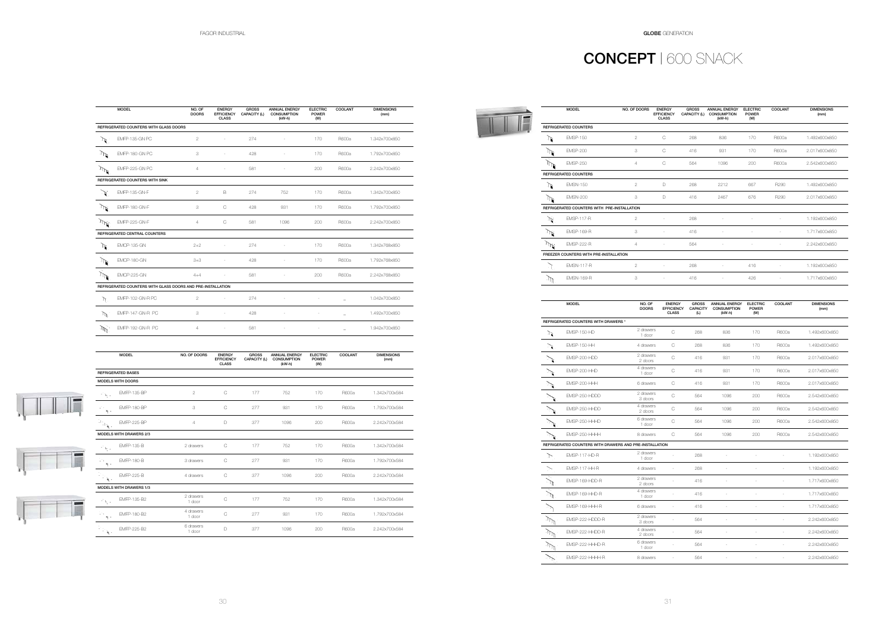|                                                         | <b>MODEL</b>                   | NO. OF DOORS        | <b>ENERGY</b><br><b>EFFICIENCY</b><br><b>CLASS</b> | <b>GROSS</b><br>CAPACITY (L) | <b>ANNUAL ENERGY</b><br><b>CONSUMPTION</b><br>$(kW-h)$ | <b>ELECTRIC</b><br><b>POWER</b><br>(W) | COOLANT | <b>DIMENSIONS</b><br>(mm) |
|---------------------------------------------------------|--------------------------------|---------------------|----------------------------------------------------|------------------------------|--------------------------------------------------------|----------------------------------------|---------|---------------------------|
|                                                         | <b>REFRIGERATED BASES</b>      |                     |                                                    |                              |                                                        |                                        |         |                           |
|                                                         | <b>MODELS WITH DOORS</b>       |                     |                                                    |                              |                                                        |                                        |         |                           |
| $\gamma^*_{\rm b}$ .                                    | <b>EMFP-135-BP</b>             | $\overline{2}$      | C                                                  | 177                          | 752                                                    | 170                                    | R600a   | 1.342x700x584             |
| $\mathcal{C} \times$<br>$\mathbf{q}$ .                  | <b>EMFP-180-BP</b>             | 3                   | C                                                  | 277                          | 931                                                    | 170                                    | R600a   | 1.792x700x584             |
| $\left\Vert \mathbb{H}_{\mathbf{X}^{\perp}}\right\Vert$ | <b>EMFP-225-BP</b>             | 4                   | D                                                  | 377                          | 1096                                                   | 200                                    | R600a   | 2.242x700x584             |
|                                                         | <b>MODELS WITH DRAWERS 2/3</b> |                     |                                                    |                              |                                                        |                                        |         |                           |
| $\gamma^{\prime}$ by $z$                                | <b>EMFP-135-B</b>              | 2 drawers           | C                                                  | 177                          | 752                                                    | 170                                    | R600a   | 1.342x700x584             |
| IЧ.<br>$\mathbf{q}$ .                                   | <b>EMFP-180-B</b>              | 3 drawers           | C                                                  | 277                          | 931                                                    | 170                                    | R600a   | 1.792x700x584             |
| <b>Page</b><br>$\mathbf{k}_i$ .                         | <b>EMFP-225-B</b>              | 4 drawers           | C                                                  | 377                          | 1096                                                   | 200                                    | R600a   | 2.242x700x584             |
|                                                         | <b>MODELS WITH DRAWERS 1/3</b> |                     |                                                    |                              |                                                        |                                        |         |                           |
| $\gamma^*b_{\zeta,\gamma}$                              | EMFP-135-B2                    | 2 drawers<br>1 door | Ċ                                                  | 177                          | 752                                                    | 170                                    | R600a   | 1.342x700x584             |
| V.<br>$\mathbf{q}$ .                                    | EMFP-180-B2                    | 4 drawers<br>1 door | C                                                  | 277                          | 931                                                    | 170                                    | R600a   | 1.792x700x584             |
|                                                         | <b>EMFP-225-B2</b>             | 6 drawers<br>1 door | D                                                  | 377                          | 1096                                                   | 200                                    | R600a   | 2.242x700x584             |

|                             | <b>MODEL</b>                                                | NO. OF<br><b>DOORS</b> | <b>ENERGY</b><br><b>EFFICIENCY</b><br><b>CLASS</b> | <b>GROSS</b><br>CAPACITY (L) | <b>ANNUAL ENERGY</b><br><b>CONSUMPTION</b><br>(kW-h) | <b>ELECTRIC</b><br><b>POWER</b><br>(W) | <b>COOLANT</b> | <b>DIMENSIONS</b><br>(mm) |
|-----------------------------|-------------------------------------------------------------|------------------------|----------------------------------------------------|------------------------------|------------------------------------------------------|----------------------------------------|----------------|---------------------------|
|                             | REFRIGERATED COUNTERS WITH GLASS DOORS                      |                        |                                                    |                              |                                                      |                                        |                |                           |
| $\mathbb{F}$                | EMFP-135-GN PC                                              | $\mathbf{2}$           |                                                    | 274                          |                                                      | 170                                    | R600a          | 1.342x700x850             |
| $\mathcal{A}$               | EMFP-180-GN PC                                              | 3                      |                                                    | 428                          |                                                      | 170                                    | R600a          | 1.792x700x850             |
| $\mathcal{M}$               | EMFP-225-GN PC                                              | $\overline{4}$         |                                                    | 581                          |                                                      | 200                                    | R600a          | 2.242x700x850             |
|                             | <b>REFRIGERATED COUNTERS WITH SINK</b>                      |                        |                                                    |                              |                                                      |                                        |                |                           |
| ेर्द                        | <b>EMFP-135-GN-F</b>                                        | $\overline{2}$         | B                                                  | 274                          | 752                                                  | 170                                    | R600a          | 1.342x700x850             |
| $\mathcal{M}$               | EMFP-180-GN-F                                               | 3                      | $\mathcal{C}$                                      | 428                          | 931                                                  | 170                                    | R600a          | 1.792x700x850             |
| $\mathcal{M}$               | <b>EMFP-225-GN-F</b>                                        | $\overline{4}$         | $\mathcal{C}$                                      | 581                          | 1096                                                 | 200                                    | R600a          | 2.242x700x850             |
|                             | REFRIGERATED CENTRAL COUNTERS                               |                        |                                                    |                              |                                                      |                                        |                |                           |
| ℩                           | <b>EMCP-135-GN</b>                                          | $2 + 2$                |                                                    | 274                          |                                                      | 170                                    | R600a          | 1.342x768x850             |
| $\mathbb{R}^n$              | EMCP-180-GN                                                 | $3 + 3$                |                                                    | 428                          |                                                      | 170                                    | R600a          | 1.792x768x850             |
| $\mathbb{M}$                | <b>EMCP-225-GN</b>                                          | $4 + 4$                |                                                    | 581                          |                                                      | 200                                    | R600a          | 2.242x768x850             |
|                             | REFRIGERATED COUNTERS WITH GLASS DOORS AND PRE-INSTALLATION |                        |                                                    |                              |                                                      |                                        |                |                           |
| $\mathcal{L}$               | EMFP-102-GN-R PC                                            | $\overline{2}$         | ä,                                                 | 274                          |                                                      | ł,                                     | $\equiv$       | 1.042x700x850             |
| $\mathcal{W}^{\mathcal{C}}$ | EMFP-147-GN-R PC                                            | 3                      | $\sim$                                             | 428                          | ÷,                                                   | $\sim$                                 | $\equiv$       | 1.492x700x850             |
|                             | EMFP-192-GN-R PC                                            | $\overline{4}$         |                                                    | 581                          |                                                      |                                        | -              | 1.942x700x850             |

# CONCEPT | 600 SNACK

 $\mathbb{F}$ 

|   | <b>MODEL</b>                                | NO. OF DOORS   | <b>ENERGY</b><br><b>EFFICIENCY</b><br><b>CLASS</b> | <b>GROSS</b><br>CAPACITY (L) | <b>ANNUAL ENERGY</b><br><b>CONSUMPTION</b><br>$(kW-h)$ | <b>ELECTRIC</b><br><b>POWER</b><br>(W) | COOLANT | <b>DIMENSIONS</b><br>(mm) |
|---|---------------------------------------------|----------------|----------------------------------------------------|------------------------------|--------------------------------------------------------|----------------------------------------|---------|---------------------------|
|   | <b>REFRIGERATED COUNTERS</b>                |                |                                                    |                              |                                                        |                                        |         |                           |
|   | <b>FMSP-150</b>                             | $\mathbf{2}$   | Ċ                                                  | 268                          | 836                                                    | 170                                    | R600a   | 1.492x600x850             |
|   | <b>EMSP-200</b>                             | 3              | С                                                  | 416                          | 931                                                    | 170                                    | R600a   | 2.017x600x850             |
|   | <b>EMSP-250</b>                             | 4              | С                                                  | 564                          | 1096                                                   | 200                                    | R600a   | 2.542x600x850             |
|   | <b>REFRIGERATED COUNTERS</b>                |                |                                                    |                              |                                                        |                                        |         |                           |
|   | <b>EMSN-150</b>                             | $\overline{2}$ | D                                                  | 268                          | 2212                                                   | 667                                    | R290    | 1.492x600x850             |
|   | <b>EMSN-200</b>                             | 3              | D                                                  | 416                          | 2467                                                   | 676                                    | R290    | 2.017x600x850             |
|   | REFRIGERATED COUNTERS WITH PRE-INSTALLATION |                |                                                    |                              |                                                        |                                        |         |                           |
| ア | <b>EMSP-117-R</b>                           | $\overline{2}$ | ×,                                                 | 268                          |                                                        |                                        |         | 1.192x600x850             |
|   | <b>EMSP-169-R</b>                           | 3              | J.                                                 | 416                          |                                                        |                                        |         | 1.717x600x850             |
|   | <b>EMSP-222-R</b>                           | 4              |                                                    | 564                          |                                                        |                                        |         | 2.242x600x850             |
|   | FREEZER COUNTERS WITH PRE-INSTALLATION      |                |                                                    |                              |                                                        |                                        |         |                           |
|   | <b>EMSN-117-R</b>                           | $\overline{2}$ | ×,                                                 | 268                          | ×                                                      | 416                                    |         | 1.192x600x850             |
|   | <b>EMSN-169-R</b>                           | 3              | ×,                                                 | 416                          | ×,                                                     | 426                                    |         | 1.717x600x850             |

|                           | <b>MODEL</b>                                            | NO. OF<br><b>DOORS</b> | <b>ENERGY</b><br><b>EFFICIENCY</b><br><b>CLASS</b> | <b>GROSS</b><br><b>CAPACITY</b><br>(L) | <b>ANNUAL ENERGY</b><br><b>CONSUMPTION</b><br>(kW-h) | <b>ELECTRIC</b><br><b>POWER</b><br>(W) | COOLANT | <b>DIMENSIONS</b><br>(mm) |
|---------------------------|---------------------------------------------------------|------------------------|----------------------------------------------------|----------------------------------------|------------------------------------------------------|----------------------------------------|---------|---------------------------|
|                           | REFRIGERATED COUNTERS WITH DRAWERS *                    |                        |                                                    |                                        |                                                      |                                        |         |                           |
| ীয়                       | EMSP-150-HD                                             | 2 drawers<br>1 door    | C                                                  | 268                                    | 836                                                  | 170                                    | R600a   | 1.492x600x850             |
|                           | <b>EMSP-150-HH</b>                                      | 4 drawers              | C                                                  | 268                                    | 836                                                  | 170                                    | R600a   | 1.492x600x850             |
|                           | EMSP-200-HDD                                            | 2 drawers<br>2 doors   | $\mathbb C$                                        | 416                                    | 931                                                  | 170                                    | R600a   | 2.017x600x850             |
|                           | EMSP-200-HHD                                            | 4 drawers<br>1 door    | Ċ                                                  | 416                                    | 931                                                  | 170                                    | R600a   | 2.017x600x850             |
|                           | EMSP-200-HHH                                            | 6 drawers              | C                                                  | 416                                    | 931                                                  | 170                                    | R600a   | 2.017x600x850             |
|                           | EMSP-250-HDDD                                           | 2 drawers<br>3 doors   | C                                                  | 564                                    | 1096                                                 | 200                                    | R600a   | 2.542x600x850             |
|                           | EMSP-250-HHDD                                           | 4 drawers<br>2 doors   | C                                                  | 564                                    | 1096                                                 | 200                                    | R600a   | 2.542x600x850             |
|                           | EMSP-250-HHHD                                           | 6 drawers<br>1 door    | $\mathcal{C}$                                      | 564                                    | 1096                                                 | 200                                    | R600a   | 2.542x600x850             |
|                           | EMSP-250-HHHH                                           | 8 drawers              | C                                                  | 564                                    | 1096                                                 | 200                                    | R600a   | 2.542x600x850             |
|                           | REFRIGERATED COUNTERS WITH DRAWERS AND PRE-INSTALLATION |                        |                                                    |                                        |                                                      |                                        |         |                           |
| ↖                         | <b>EMSP-117-HD-R</b>                                    | 2 drawers<br>1 door    |                                                    | 268                                    |                                                      |                                        |         | 1.192x600x850             |
|                           | <b>EMSP-117-HH-R</b>                                    | 4 drawers              |                                                    | 268                                    |                                                      |                                        |         | 1.192x600x850             |
|                           | EMSP-169-HDD-R                                          | 2 drawers<br>2 doors   |                                                    | 416                                    |                                                      |                                        |         | 1.717x600x850             |
|                           | EMSP-169-HHD-R                                          | 4 drawers<br>1 door    |                                                    | 416                                    |                                                      |                                        |         | 1.717x600x850             |
|                           | EMSP-169-HHH-R                                          | 6 drawers              | ×,                                                 | 416                                    |                                                      |                                        |         | 1.717x600x850             |
| $\mathcal{M}^{\parallel}$ | EMSP-222-HDDD-R                                         | 2 drawers<br>3 doors   |                                                    | 564                                    | ×,                                                   |                                        |         | 2.242x600x850             |
| $\mathcal{W}$             | EMSP-222-HHDD-R                                         | 4 drawers<br>2 doors   |                                                    | 564                                    |                                                      |                                        |         | 2.242x600x850             |
|                           | EMSP-222-HHHD-R                                         | 6 drawers<br>1 door    |                                                    | 564                                    |                                                      |                                        |         | 2.242x600x850             |
|                           | EMSP-222-HHHH-R                                         | 8 drawers              |                                                    | 564                                    |                                                      |                                        |         | 2.242x600x850             |



 $\sqrt{1+\sqrt{1+\frac{1}{2}}}\sqrt{\frac{1}{2+\frac{1}{2}}\sqrt{\frac{1}{2+\frac{1}{2}}\sqrt{\frac{1}{2+\frac{1}{2}}\sqrt{\frac{1}{2+\frac{1}{2}}\sqrt{\frac{1}{2}}}}}}$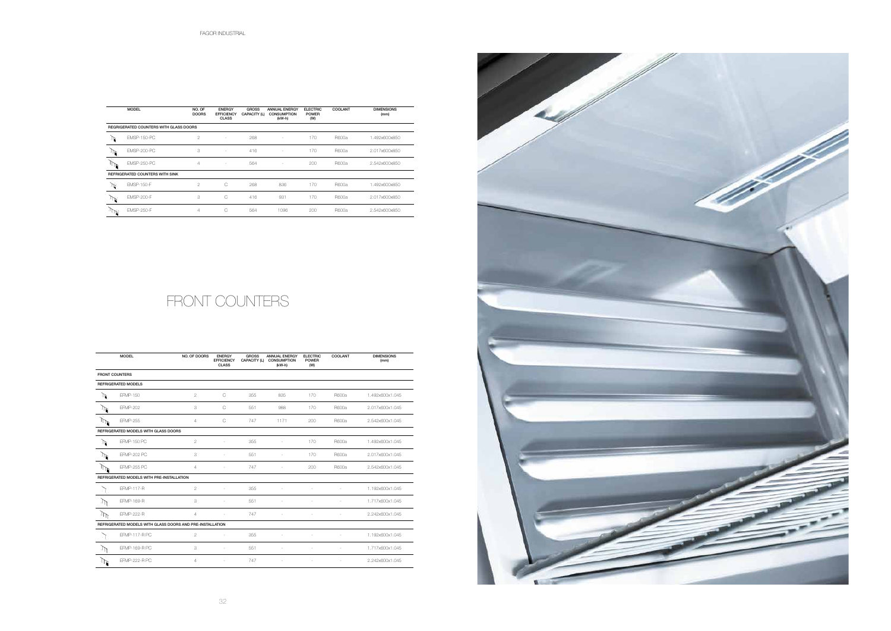32

|                       | <b>MODEL</b>                                              | NO. OF DOORS   | <b>ENERGY</b><br><b>EFFICIENCY</b><br><b>CLASS</b> | <b>GROSS</b><br>CAPACITY (L) | <b>ANNUAL ENERGY</b><br><b>CONSUMPTION</b><br>$(kW-h)$ | <b>ELECTRIC</b><br><b>POWER</b><br>(W) | COOLANT | <b>DIMENSIONS</b><br>(mm) |
|-----------------------|-----------------------------------------------------------|----------------|----------------------------------------------------|------------------------------|--------------------------------------------------------|----------------------------------------|---------|---------------------------|
| <b>FRONT COUNTERS</b> |                                                           |                |                                                    |                              |                                                        |                                        |         |                           |
|                       | <b>REFRIGERATED MODELS</b>                                |                |                                                    |                              |                                                        |                                        |         |                           |
| ∩                     | EFMP-150                                                  | $\overline{2}$ | C                                                  | 355                          | 835                                                    | 170                                    | R600a   | 1.492x600x1.045           |
| $\mathbb{D}$          | <b>EFMP-202</b>                                           | 3              | $\mathsf{C}$                                       | 551                          | 988                                                    | 170                                    | R600a   | 2.017x600x1.045           |
| $\mathbb{M}$          | <b>EFMP-255</b>                                           | $\overline{4}$ | $\mathsf{C}$                                       | 747                          | 1171                                                   | 200                                    | R600a   | 2.542x600x1.045           |
|                       | REFRIGERATED MODELS WITH GLASS DOORS                      |                |                                                    |                              |                                                        |                                        |         |                           |
| ₫                     | <b>EFMP-150 PC</b>                                        | $\overline{2}$ | $\sim$                                             | 355                          | ×                                                      | 170                                    | R600a   | 1.492x600x1.045           |
| $\mathbb{R}^n$        | <b>EFMP-202 PC</b>                                        | 3              | ×                                                  | 551                          | ×                                                      | 170                                    | R600a   | 2.017x600x1.045           |
|                       | <b>EFMP-255 PC</b>                                        | $\overline{4}$ | ÷.                                                 | 747                          |                                                        | 200                                    | R600a   | 2.542x600x1.045           |
|                       | REFRIGERATED MODELS WITH PRE-INSTALLATION                 |                |                                                    |                              |                                                        |                                        |         |                           |
|                       | EFMP-117-R                                                | $\overline{2}$ | ×.                                                 | 355                          |                                                        |                                        |         | 1.192x600x1.045           |
| $\mathbb{M}$          | <b>EFMP-169-R</b>                                         | 3              |                                                    | 551                          |                                                        |                                        |         | 1.717x600x1.045           |
| $\mathbb{M}$          | <b>EFMP-222-R</b>                                         | 4              |                                                    | 747                          |                                                        |                                        |         | 2.242x600x1.045           |
|                       | REFRIGERATED MODELS WITH GLASS DOORS AND PRE-INSTALLATION |                |                                                    |                              |                                                        |                                        |         |                           |
| - 1                   | <b>EFMP-117-R PC</b>                                      | $\overline{2}$ | ÷                                                  | 355                          |                                                        | ٠                                      | ÷.      | 1.192x600x1.045           |
| $\mathbb{M}$          | EFMP-169-R PC                                             | 3              |                                                    | 551                          |                                                        |                                        |         | 1.717x600x1.045           |
| $\mathbb{R}$          | <b>EFMP-222-R PC</b>                                      | $\overline{4}$ | ×                                                  | 747                          | ÷                                                      | ×.                                     | ٠       | 2.242x600x1.045           |
|                       |                                                           |                |                                                    |                              |                                                        |                                        |         |                           |

# FRONT COUNTERS

|   | <b>MODEL</b>                           | NO. OF<br><b>DOORS</b> | <b>ENERGY</b><br><b>EFFICIENCY</b><br><b>CLASS</b> | <b>GROSS</b><br>CAPACITY (L) | <b>ANNUAL ENERGY</b><br><b>CONSUMPTION</b><br>(kW-h) | <b>ELECTRIC</b><br><b>POWER</b><br>(W) | <b>COOLANT</b> | <b>DIMENSIONS</b><br>(mm) |
|---|----------------------------------------|------------------------|----------------------------------------------------|------------------------------|------------------------------------------------------|----------------------------------------|----------------|---------------------------|
|   | REGRIGERATED COUNTERS WITH GLASS DOORS |                        |                                                    |                              |                                                      |                                        |                |                           |
|   | <b>EMSP-150-PC</b>                     | $\overline{2}$         | ٠                                                  | 268                          | ٠                                                    | 170                                    | R600a          | 1.492x600x850             |
|   | <b>EMSP-200-PC</b>                     | 3                      | ٠                                                  | 416                          | $\sim$                                               | 170                                    | R600a          | 2.017x600x850             |
| ъ | <b>EMSP-250-PC</b>                     | 4                      | $\sim$                                             | 564                          |                                                      | 200                                    | R600a          | 2.542x600x850             |
|   | <b>REFRIGERATED COUNTERS WITH SINK</b> |                        |                                                    |                              |                                                      |                                        |                |                           |
|   | <b>EMSP-150-F</b>                      | $\overline{2}$         | C                                                  | 268                          | 836                                                  | 170                                    | R600a          | 1.492x600x850             |
| 秘 | <b>EMSP-200-F</b>                      | 3                      | C                                                  | 416                          | 931                                                  | 170                                    | R600a          | 2.017x600x850             |
| ↖ | <b>EMSP-250-F</b>                      | 4                      | С                                                  | 564                          | 1096                                                 | 200                                    | R600a          | 2.542x600x850             |